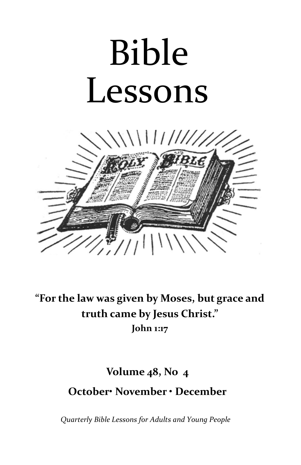# Bible Lessons



**"For the law was given by Moses, but grace and truth came by Jesus Christ." John 1:17**

# **Volume 48, No 4 October• November • December**

*Quarterly Bible Lessons for Adults and Young People*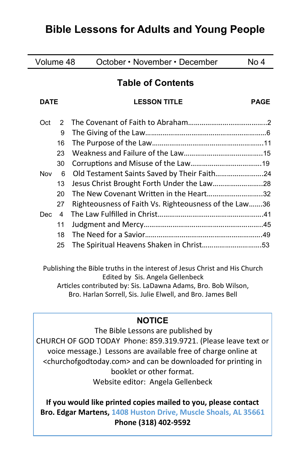# **Bible Lessons for Adults and Young People**

| Volume 48   |    | October • November • December                         | No 4        |
|-------------|----|-------------------------------------------------------|-------------|
|             |    | <b>Table of Contents</b>                              |             |
| <b>DATE</b> |    | <b>LESSON TITLE</b>                                   | <b>PAGE</b> |
| Oct         | 2  |                                                       |             |
|             | 9  |                                                       |             |
|             | 16 |                                                       |             |
|             | 23 |                                                       |             |
|             | 30 |                                                       |             |
| <b>Nov</b>  | 6  | Old Testament Saints Saved by Their Faith24           |             |
|             | 13 | Jesus Christ Brought Forth Under the Law28            |             |
|             | 20 | The New Covenant Written in the Heart32               |             |
|             | 27 | Righteousness of Faith Vs. Righteousness of the Law36 |             |
| Dec.        | 4  |                                                       |             |
|             | 11 |                                                       |             |
|             | 18 |                                                       |             |
|             | 25 | The Spiritual Heavens Shaken in Christ53              |             |
|             |    |                                                       |             |

Publishing the Bible truths in the interest of Jesus Christ and His Church Edited by Sis. Angela Gellenbeck Articles contributed by: Sis. LaDawna Adams, Bro. Bob Wilson, Bro. Harlan Sorrell, Sis. Julie Elwell, and Bro. James Bell

# **NOTICE**

The Bible Lessons are published by CHURCH OF GOD TODAY Phone: 859.319.9721. (Please leave text or voice message.) Lessons are available free of charge online at <churchofgodtoday.com> and can be downloaded for printing in booklet or other format. Website editor: Angela Gellenbeck

**If you would like printed copies mailed to you, please contact Bro. Edgar Martens, 1408 Huston Drive, Muscle Shoals, AL 35661 Phone (318) 402-9592**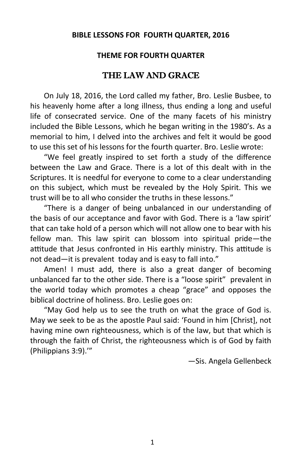#### **BIBLE LESSONS FOR FOURTH QUARTER, 2016**

# **THEME FOR FOURTH QUARTER**

# THE LAW AND GRACE

On July 18, 2016, the Lord called my father, Bro. Leslie Busbee, to his heavenly home after a long illness, thus ending a long and useful life of consecrated service. One of the many facets of his ministry included the Bible Lessons, which he began writing in the 1980's. As a memorial to him, I delved into the archives and felt it would be good to use this set of his lessons for the fourth quarter. Bro. Leslie wrote:

"We feel greatly inspired to set forth a study of the difference between the Law and Grace. There is a lot of this dealt with in the Scriptures. It is needful for everyone to come to a clear understanding on this subject, which must be revealed by the Holy Spirit. This we trust will be to all who consider the truths in these lessons."

"There is a danger of being unbalanced in our understanding of the basis of our acceptance and favor with God. There is a 'law spirit' that can take hold of a person which will not allow one to bear with his fellow man. This law spirit can blossom into spiritual pride—the attitude that Jesus confronted in His earthly ministry. This attitude is not dead—it is prevalent today and is easy to fall into."

Amen! I must add, there is also a great danger of becoming unbalanced far to the other side. There is a "loose spirit" prevalent in the world today which promotes a cheap "grace" and opposes the biblical doctrine of holiness. Bro. Leslie goes on:

"May God help us to see the truth on what the grace of God is. May we seek to be as the apostle Paul said: 'Found in him [Christ], not having mine own righteousness, which is of the law, but that which is through the faith of Christ, the righteousness which is of God by faith (Philippians 3:9).'"

—Sis. Angela Gellenbeck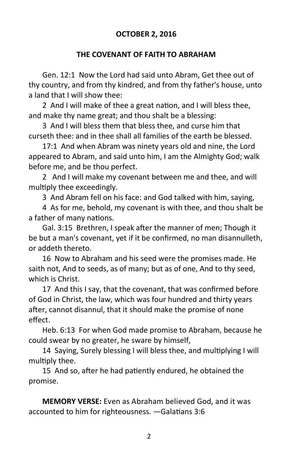# **OCTOBER 2, 2016**

#### **THE COVENANT OF FAITH TO ABRAHAM**

Gen. 12:1 Now the Lord had said unto Abram, Get thee out of thy country, and from thy kindred, and from thy father's house, unto a land that I will show thee:

2 And I will make of thee a great nation, and I will bless thee, and make thy name great; and thou shalt be a blessing:

3 And I will bless them that bless thee, and curse him that curseth thee: and in thee shall all families of the earth be blessed.

17:1 And when Abram was ninety years old and nine, the Lord appeared to Abram, and said unto him, I am the Almighty God; walk before me, and be thou perfect.

2 And I will make my covenant between me and thee, and will multiply thee exceedingly.

3 And Abram fell on his face: and God talked with him, saying,

4 As for me, behold, my covenant is with thee, and thou shalt be a father of many nations.

Gal. 3:15 Brethren, I speak after the manner of men; Though it be but a man's covenant, yet if it be confirmed, no man disannulleth, or addeth thereto.

16 Now to Abraham and his seed were the promises made. He saith not, And to seeds, as of many; but as of one, And to thy seed, which is Christ.

17 And this I say, that the covenant, that was confirmed before of God in Christ, the law, which was four hundred and thirty years after, cannot disannul, that it should make the promise of none effect.

Heb. 6:13 For when God made promise to Abraham, because he could swear by no greater, he sware by himself,

14 Saying, Surely blessing I will bless thee, and multiplying I will multiply thee.

15 And so, after he had patiently endured, he obtained the promise.

**MEMORY VERSE:** Even as Abraham believed God, and it was accounted to him for righteousness. —Galatians 3:6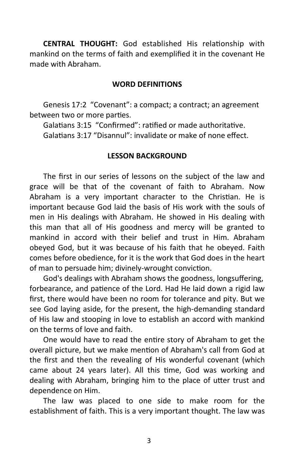**CENTRAL THOUGHT:** God established His relationship with mankind on the terms of faith and exemplified it in the covenant He made with Abraham.

#### **WORD DEFINITIONS**

Genesis 17:2 "Covenant": a compact; a contract; an agreement between two or more parties.

Galatians 3:15 "Confirmed": ratified or made authoritative.

Galatians 3:17 "Disannul": invalidate or make of none effect.

#### **LESSON BACKGROUND**

The first in our series of lessons on the subject of the law and grace will be that of the covenant of faith to Abraham. Now Abraham is a very important character to the Christian. He is important because God laid the basis of His work with the souls of men in His dealings with Abraham. He showed in His dealing with this man that all of His goodness and mercy will be granted to mankind in accord with their belief and trust in Him. Abraham obeyed God, but it was because of his faith that he obeyed. Faith comes before obedience, for it is the work that God does in the heart of man to persuade him; divinely-wrought conviction.

God's dealings with Abraham shows the goodness, longsuffering, forbearance, and patience of the Lord. Had He laid down a rigid law first, there would have been no room for tolerance and pity. But we see God laying aside, for the present, the high-demanding standard of His law and stooping in love to establish an accord with mankind on the terms of love and faith.

One would have to read the entire story of Abraham to get the overall picture, but we make mention of Abraham's call from God at the first and then the revealing of His wonderful covenant (which came about 24 years later). All this time, God was working and dealing with Abraham, bringing him to the place of utter trust and dependence on Him.

The law was placed to one side to make room for the establishment of faith. This is a very important thought. The law was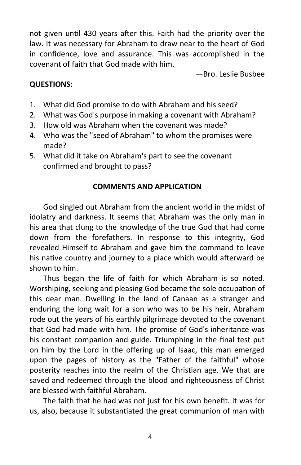not given until 430 years after this. Faith had the priority over the law. It was necessary for Abraham to draw near to the heart of God in confidence, love and assurance. This was accomplished in the covenant of faith that God made with him.

—Bro. Leslie Busbee

# **QUESTIONS:**

- 1. What did God promise to do with Abraham and his seed?
- 2. What was God's purpose in making a covenant with Abraham?
- 3. How old was Abraham when the covenant was made?
- 4. Who was the "seed of Abraham" to whom the promises were made?
- 5. What did it take on Abraham's part to see the covenant confirmed and brought to pass?

# **COMMENTS AND APPLICATION**

God singled out Abraham from the ancient world in the midst of idolatry and darkness. It seems that Abraham was the only man in his area that clung to the knowledge of the true God that had come down from the forefathers. In response to this integrity, God revealed Himself to Abraham and gave him the command to leave his native country and journey to a place which would afterward be shown to him.

Thus began the life of faith for which Abraham is so noted. Worshiping, seeking and pleasing God became the sole occupation of this dear man. Dwelling in the land of Canaan as a stranger and enduring the long wait for a son who was to be his heir, Abraham rode out the years of his earthly pilgrimage devoted to the covenant that God had made with him. The promise of God's inheritance was his constant companion and guide. Triumphing in the final test put on him by the Lord in the offering up of Isaac, this man emerged upon the pages of history as the "Father of the faithful" whose posterity reaches into the realm of the Christian age. We that are saved and redeemed through the blood and righteousness of Christ are blessed with faithful Abraham.

The faith that he had was not just for his own benefit. It was for us, also, because it substantiated the great communion of man with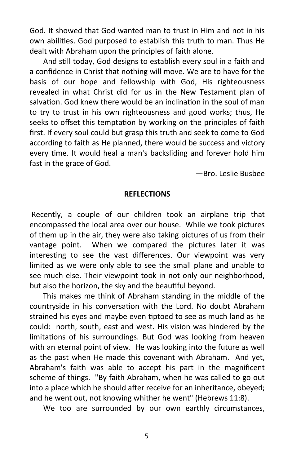God. It showed that God wanted man to trust in Him and not in his own abilities. God purposed to establish this truth to man. Thus He dealt with Abraham upon the principles of faith alone.

And still today, God designs to establish every soul in a faith and a confidence in Christ that nothing will move. We are to have for the basis of our hope and fellowship with God, His righteousness revealed in what Christ did for us in the New Testament plan of salvation. God knew there would be an inclination in the soul of man to try to trust in his own righteousness and good works; thus, He seeks to offset this temptation by working on the principles of faith first. If every soul could but grasp this truth and seek to come to God according to faith as He planned, there would be success and victory every time. It would heal a man's backsliding and forever hold him fast in the grace of God.

—Bro. Leslie Busbee

#### **REFLECTIONS**

Recently, a couple of our children took an airplane trip that encompassed the local area over our house. While we took pictures of them up in the air, they were also taking pictures of us from their vantage point. When we compared the pictures later it was interesting to see the vast differences. Our viewpoint was very limited as we were only able to see the small plane and unable to see much else. Their viewpoint took in not only our neighborhood, but also the horizon, the sky and the beautiful beyond.

 This makes me think of Abraham standing in the middle of the countryside in his conversation with the Lord. No doubt Abraham strained his eyes and maybe even tiptoed to see as much land as he could: north, south, east and west. His vision was hindered by the limitations of his surroundings. But God was looking from heaven with an eternal point of view. He was looking into the future as well as the past when He made this covenant with Abraham. And yet, Abraham's faith was able to accept his part in the magnificent scheme of things. "By faith Abraham, when he was called to go out into a place which he should after receive for an inheritance, obeyed; and he went out, not knowing whither he went" (Hebrews 11:8).

We too are surrounded by our own earthly circumstances,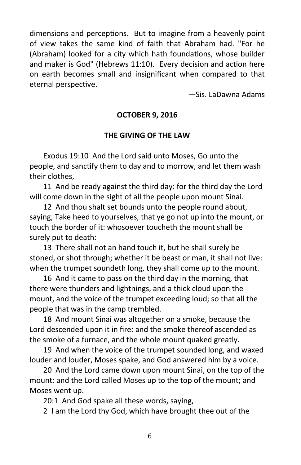dimensions and perceptions. But to imagine from a heavenly point of view takes the same kind of faith that Abraham had. "For he (Abraham) looked for a city which hath foundations, whose builder and maker is God" (Hebrews 11:10). Every decision and action here on earth becomes small and insignificant when compared to that eternal perspective.

—Sis. LaDawna Adams

## **OCTOBER 9, 2016**

## **THE GIVING OF THE LAW**

Exodus 19:10 And the Lord said unto Moses, Go unto the people, and sanctify them to day and to morrow, and let them wash their clothes,

11 And be ready against the third day: for the third day the Lord will come down in the sight of all the people upon mount Sinai.

12 And thou shalt set bounds unto the people round about, saying, Take heed to yourselves, that ye go not up into the mount, or touch the border of it: whosoever toucheth the mount shall be surely put to death:

13 There shall not an hand touch it, but he shall surely be stoned, or shot through; whether it be beast or man, it shall not live: when the trumpet soundeth long, they shall come up to the mount.

16 And it came to pass on the third day in the morning, that there were thunders and lightnings, and a thick cloud upon the mount, and the voice of the trumpet exceeding loud; so that all the people that was in the camp trembled.

18 And mount Sinai was altogether on a smoke, because the Lord descended upon it in fire: and the smoke thereof ascended as the smoke of a furnace, and the whole mount quaked greatly.

19 And when the voice of the trumpet sounded long, and waxed louder and louder, Moses spake, and God answered him by a voice.

20 And the Lord came down upon mount Sinai, on the top of the mount: and the Lord called Moses up to the top of the mount; and Moses went up.

20:1 And God spake all these words, saying,

2 I am the Lord thy God, which have brought thee out of the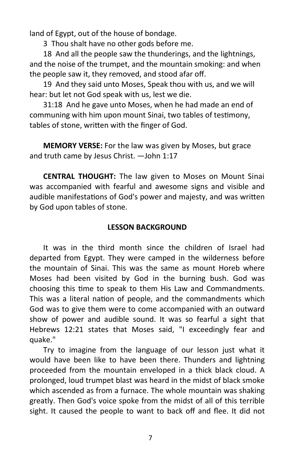land of Egypt, out of the house of bondage.

3 Thou shalt have no other gods before me.

18 And all the people saw the thunderings, and the lightnings, and the noise of the trumpet, and the mountain smoking: and when the people saw it, they removed, and stood afar off.

19 And they said unto Moses, Speak thou with us, and we will hear: but let not God speak with us, lest we die.

31:18 And he gave unto Moses, when he had made an end of communing with him upon mount Sinai, two tables of testimony, tables of stone, written with the finger of God.

**MEMORY VERSE:** For the law was given by Moses, but grace and truth came by Jesus Christ. —John 1:17

**CENTRAL THOUGHT:** The law given to Moses on Mount Sinai was accompanied with fearful and awesome signs and visible and audible manifestations of God's power and majesty, and was written by God upon tables of stone.

# **LESSON BACKGROUND**

It was in the third month since the children of Israel had departed from Egypt. They were camped in the wilderness before the mountain of Sinai. This was the same as mount Horeb where Moses had been visited by God in the burning bush. God was choosing this time to speak to them His Law and Commandments. This was a literal nation of people, and the commandments which God was to give them were to come accompanied with an outward show of power and audible sound. It was so fearful a sight that Hebrews 12:21 states that Moses said, "I exceedingly fear and quake."

Try to imagine from the language of our lesson just what it would have been like to have been there. Thunders and lightning proceeded from the mountain enveloped in a thick black cloud. A prolonged, loud trumpet blast was heard in the midst of black smoke which ascended as from a furnace. The whole mountain was shaking greatly. Then God's voice spoke from the midst of all of this terrible sight. It caused the people to want to back off and flee. It did not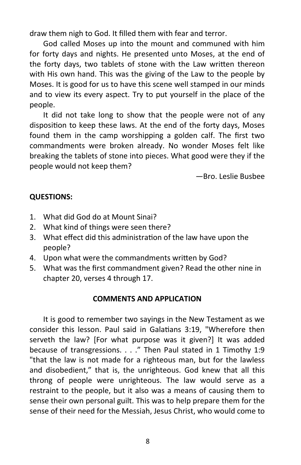draw them nigh to God. It filled them with fear and terror.

God called Moses up into the mount and communed with him for forty days and nights. He presented unto Moses, at the end of the forty days, two tablets of stone with the Law written thereon with His own hand. This was the giving of the Law to the people by Moses. It is good for us to have this scene well stamped in our minds and to view its every aspect. Try to put yourself in the place of the people.

It did not take long to show that the people were not of any disposition to keep these laws. At the end of the forty days, Moses found them in the camp worshipping a golden calf. The first two commandments were broken already. No wonder Moses felt like breaking the tablets of stone into pieces. What good were they if the people would not keep them?

—Bro. Leslie Busbee

# **QUESTIONS:**

- 1. What did God do at Mount Sinai?
- 2. What kind of things were seen there?
- 3. What effect did this administration of the law have upon the people?
- 4. Upon what were the commandments written by God?
- 5. What was the first commandment given? Read the other nine in chapter 20, verses 4 through 17.

# **COMMENTS AND APPLICATION**

It is good to remember two sayings in the New Testament as we consider this lesson. Paul said in Galatians 3:19, "Wherefore then serveth the law? [For what purpose was it given?] It was added because of transgressions. . . ." Then Paul stated in 1 Timothy 1:9 "that the law is not made for a righteous man, but for the lawless and disobedient," that is, the unrighteous. God knew that all this throng of people were unrighteous. The law would serve as a restraint to the people, but it also was a means of causing them to sense their own personal guilt. This was to help prepare them for the sense of their need for the Messiah, Jesus Christ, who would come to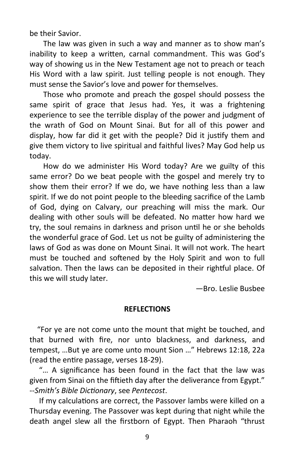be their Savior.

The law was given in such a way and manner as to show man's inability to keep a written, carnal commandment. This was God's way of showing us in the New Testament age not to preach or teach His Word with a law spirit. Just telling people is not enough. They must sense the Savior's love and power for themselves.

Those who promote and preach the gospel should possess the same spirit of grace that Jesus had. Yes, it was a frightening experience to see the terrible display of the power and judgment of the wrath of God on Mount Sinai. But for all of this power and display, how far did it get with the people? Did it justify them and give them victory to live spiritual and faithful lives? May God help us today.

How do we administer His Word today? Are we guilty of this same error? Do we beat people with the gospel and merely try to show them their error? If we do, we have nothing less than a law spirit. If we do not point people to the bleeding sacrifice of the Lamb of God, dying on Calvary, our preaching will miss the mark. Our dealing with other souls will be defeated. No matter how hard we try, the soul remains in darkness and prison until he or she beholds the wonderful grace of God. Let us not be guilty of administering the laws of God as was done on Mount Sinai. It will not work. The heart must be touched and softened by the Holy Spirit and won to full salvation. Then the laws can be deposited in their rightful place. Of this we will study later.

—Bro. Leslie Busbee

#### **REFLECTIONS**

 "For ye are not come unto the mount that might be touched, and that burned with fire, nor unto blackness, and darkness, and tempest, …But ye are come unto mount Sion …" Hebrews 12:18, 22a (read the entire passage, verses 18-29).

 "… A significance has been found in the fact that the law was given from Sinai on the fiftieth day after the deliverance from Egypt." --*Smith's Bible Dictionary*, see *Pentecost*.

 If my calculations are correct, the Passover lambs were killed on a Thursday evening. The Passover was kept during that night while the death angel slew all the firstborn of Egypt. Then Pharaoh "thrust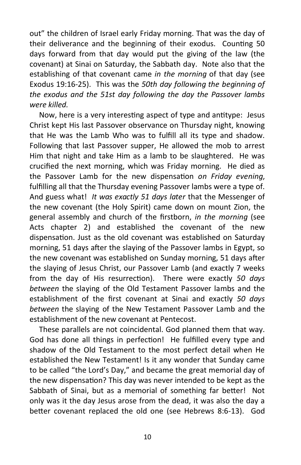out" the children of Israel early Friday morning. That was the day of their deliverance and the beginning of their exodus. Counting 50 days forward from that day would put the giving of the law (the covenant) at Sinai on Saturday, the Sabbath day. Note also that the establishing of that covenant came *in the morning* of that day (see Exodus 19:16-25). This was the *50th day following the beginning of the exodus and the 51st day following the day the Passover lambs were killed.*

 Now, here is a very interesting aspect of type and antitype: Jesus Christ kept His last Passover observance on Thursday night, knowing that He was the Lamb Who was to fulfill all its type and shadow. Following that last Passover supper, He allowed the mob to arrest Him that night and take Him as a lamb to be slaughtered. He was crucified the next morning, which was Friday morning. He died as the Passover Lamb for the new dispensation *on Friday evening*, fulfilling all that the Thursday evening Passover lambs were a type of. And guess what! *It was exactly 51 days later* that the Messenger of the new covenant (the Holy Spirit) came down on mount Zion, the general assembly and church of the firstborn, *in the morning* (see Acts chapter 2) and established the covenant of the new dispensation. Just as the old covenant was established on Saturday morning, 51 days after the slaying of the Passover lambs in Egypt, so the new covenant was established on Sunday morning, 51 days after the slaying of Jesus Christ, our Passover Lamb (and exactly 7 weeks from the day of His resurrection). There were exactly *50 days between* the slaying of the Old Testament Passover lambs and the establishment of the first covenant at Sinai and exactly *50 days between* the slaying of the New Testament Passover Lamb and the establishment of the new covenant at Pentecost.

 These parallels are not coincidental. God planned them that way. God has done all things in perfection! He fulfilled every type and shadow of the Old Testament to the most perfect detail when He established the New Testament! Is it any wonder that Sunday came to be called "the Lord's Day," and became the great memorial day of the new dispensation? This day was never intended to be kept as the Sabbath of Sinai, but as a memorial of something far better! Not only was it the day Jesus arose from the dead, it was also the day a better covenant replaced the old one (see Hebrews 8:6-13). God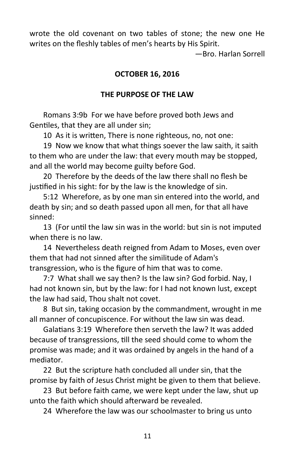wrote the old covenant on two tables of stone; the new one He writes on the fleshly tables of men's hearts by His Spirit.

—Bro. Harlan Sorrell

#### **OCTOBER 16, 2016**

#### **THE PURPOSE OF THE LAW**

Romans 3:9b For we have before proved both Jews and Gentiles, that they are all under sin;

10 As it is written, There is none righteous, no, not one:

19 Now we know that what things soever the law saith, it saith to them who are under the law: that every mouth may be stopped, and all the world may become guilty before God.

20 Therefore by the deeds of the law there shall no flesh be justified in his sight: for by the law is the knowledge of sin.

5:12 Wherefore, as by one man sin entered into the world, and death by sin; and so death passed upon all men, for that all have sinned:

13 (For until the law sin was in the world: but sin is not imputed when there is no law.

14 Nevertheless death reigned from Adam to Moses, even over them that had not sinned after the similitude of Adam's transgression, who is the figure of him that was to come.

7:7 What shall we say then? Is the law sin? God forbid. Nay, I had not known sin, but by the law: for I had not known lust, except the law had said, Thou shalt not covet.

8 But sin, taking occasion by the commandment, wrought in me all manner of concupiscence. For without the law sin was dead.

Galatians 3:19 Wherefore then serveth the law? It was added because of transgressions, till the seed should come to whom the promise was made; and it was ordained by angels in the hand of a mediator.

22 But the scripture hath concluded all under sin, that the promise by faith of Jesus Christ might be given to them that believe.

23 But before faith came, we were kept under the law, shut up unto the faith which should afterward be revealed.

24 Wherefore the law was our schoolmaster to bring us unto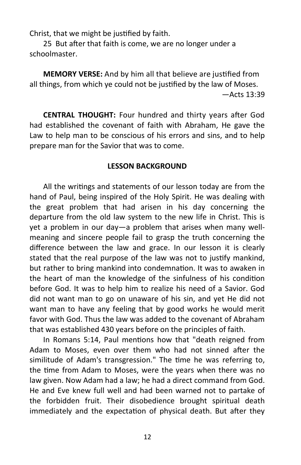Christ, that we might be justified by faith.

25 But after that faith is come, we are no longer under a schoolmaster.

**MEMORY VERSE:** And by him all that believe are justified from all things, from which ye could not be justified by the law of Moses. —Acts 13:39

**CENTRAL THOUGHT:** Four hundred and thirty years after God had established the covenant of faith with Abraham, He gave the Law to help man to be conscious of his errors and sins, and to help prepare man for the Savior that was to come.

#### **LESSON BACKGROUND**

All the writings and statements of our lesson today are from the hand of Paul, being inspired of the Holy Spirit. He was dealing with the great problem that had arisen in his day concerning the departure from the old law system to the new life in Christ. This is yet a problem in our day—a problem that arises when many wellmeaning and sincere people fail to grasp the truth concerning the difference between the law and grace. In our lesson it is clearly stated that the real purpose of the law was not to justify mankind, but rather to bring mankind into condemnation. It was to awaken in the heart of man the knowledge of the sinfulness of his condition before God. It was to help him to realize his need of a Savior. God did not want man to go on unaware of his sin, and yet He did not want man to have any feeling that by good works he would merit favor with God. Thus the law was added to the covenant of Abraham that was established 430 years before on the principles of faith.

In Romans 5:14, Paul mentions how that "death reigned from Adam to Moses, even over them who had not sinned after the similitude of Adam's transgression." The time he was referring to, the time from Adam to Moses, were the years when there was no law given. Now Adam had a law; he had a direct command from God. He and Eve knew full well and had been warned not to partake of the forbidden fruit. Their disobedience brought spiritual death immediately and the expectation of physical death. But after they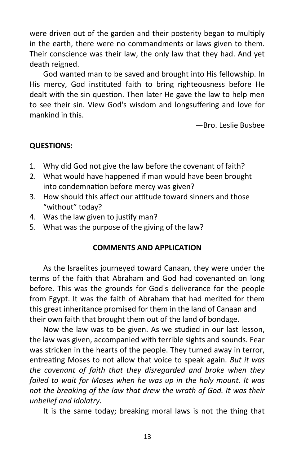were driven out of the garden and their posterity began to multiply in the earth, there were no commandments or laws given to them. Their conscience was their law, the only law that they had. And yet death reigned.

God wanted man to be saved and brought into His fellowship. In His mercy, God instituted faith to bring righteousness before He dealt with the sin question. Then later He gave the law to help men to see their sin. View God's wisdom and longsuffering and love for mankind in this.

—Bro. Leslie Busbee

# **QUESTIONS:**

- 1. Why did God not give the law before the covenant of faith?
- 2. What would have happened if man would have been brought into condemnation before mercy was given?
- 3. How should this affect our attitude toward sinners and those "without" today?
- 4. Was the law given to justify man?
- 5. What was the purpose of the giving of the law?

# **COMMENTS AND APPLICATION**

As the Israelites journeyed toward Canaan, they were under the terms of the faith that Abraham and God had covenanted on long before. This was the grounds for God's deliverance for the people from Egypt. It was the faith of Abraham that had merited for them this great inheritance promised for them in the land of Canaan and their own faith that brought them out of the land of bondage.

Now the law was to be given. As we studied in our last lesson, the law was given, accompanied with terrible sights and sounds. Fear was stricken in the hearts of the people. They turned away in terror, entreating Moses to not allow that voice to speak again. *But it was the covenant of faith that they disregarded and broke when they failed to wait for Moses when he was up in the holy mount. It was not the breaking of the law that drew the wrath of God. It was their unbelief and idolatry.* 

It is the same today; breaking moral laws is not the thing that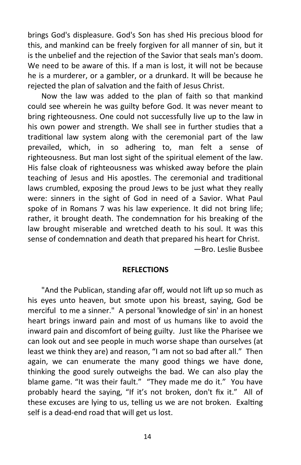brings God's displeasure. God's Son has shed His precious blood for this, and mankind can be freely forgiven for all manner of sin, but it is the unbelief and the rejection of the Savior that seals man's doom. We need to be aware of this. If a man is lost, it will not be because he is a murderer, or a gambler, or a drunkard. It will be because he rejected the plan of salvation and the faith of Jesus Christ.

Now the law was added to the plan of faith so that mankind could see wherein he was guilty before God. It was never meant to bring righteousness. One could not successfully live up to the law in his own power and strength. We shall see in further studies that a traditional law system along with the ceremonial part of the law prevailed, which, in so adhering to, man felt a sense of righteousness. But man lost sight of the spiritual element of the law. His false cloak of righteousness was whisked away before the plain teaching of Jesus and His apostles. The ceremonial and traditional laws crumbled, exposing the proud Jews to be just what they really were: sinners in the sight of God in need of a Savior. What Paul spoke of in Romans 7 was his law experience. It did not bring life; rather, it brought death. The condemnation for his breaking of the law brought miserable and wretched death to his soul. It was this sense of condemnation and death that prepared his heart for Christ. —Bro. Leslie Busbee

#### **REFLECTIONS**

"And the Publican, standing afar off, would not lift up so much as his eyes unto heaven, but smote upon his breast, saying, God be merciful to me a sinner." A personal 'knowledge of sin' in an honest heart brings inward pain and most of us humans like to avoid the inward pain and discomfort of being guilty. Just like the Pharisee we can look out and see people in much worse shape than ourselves (at least we think they are) and reason, "I am not so bad after all." Then again, we can enumerate the many good things we have done, thinking the good surely outweighs the bad. We can also play the blame game. "It was their fault." "They made me do it." You have probably heard the saying, "If it's not broken, don't fix it." All of these excuses are lying to us, telling us we are not broken. Exalting self is a dead-end road that will get us lost.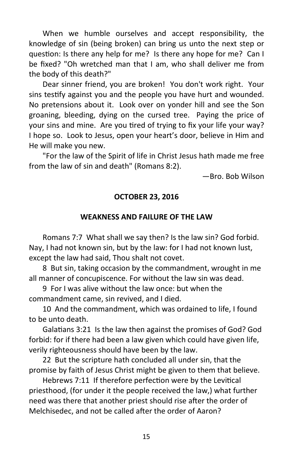When we humble ourselves and accept responsibility, the knowledge of sin (being broken) can bring us unto the next step or question: Is there any help for me? Is there any hope for me? Can I be fixed? "Oh wretched man that I am, who shall deliver me from the body of this death?"

Dear sinner friend, you are broken! You don't work right. Your sins testify against you and the people you have hurt and wounded. No pretensions about it. Look over on yonder hill and see the Son groaning, bleeding, dying on the cursed tree. Paying the price of your sins and mine. Are you tired of trying to fix your life your way? I hope so. Look to Jesus, open your heart's door, believe in Him and He will make you new.

"For the law of the Spirit of life in Christ Jesus hath made me free from the law of sin and death" (Romans 8:2).

—Bro. Bob Wilson

# **OCTOBER 23, 2016**

# **WEAKNESS AND FAILURE OF THE LAW**

Romans 7:7 What shall we say then? Is the law sin? God forbid. Nay, I had not known sin, but by the law: for I had not known lust, except the law had said, Thou shalt not covet.

8 But sin, taking occasion by the commandment, wrought in me all manner of concupiscence. For without the law sin was dead.

9 For I was alive without the law once: but when the commandment came, sin revived, and I died.

10 And the commandment, which was ordained to life, I found to be unto death.

Galatians 3:21 Is the law then against the promises of God? God forbid: for if there had been a law given which could have given life, verily righteousness should have been by the law.

22 But the scripture hath concluded all under sin, that the promise by faith of Jesus Christ might be given to them that believe.

Hebrews 7:11 If therefore perfection were by the Levitical priesthood, (for under it the people received the law,) what further need was there that another priest should rise after the order of Melchisedec, and not be called after the order of Aaron?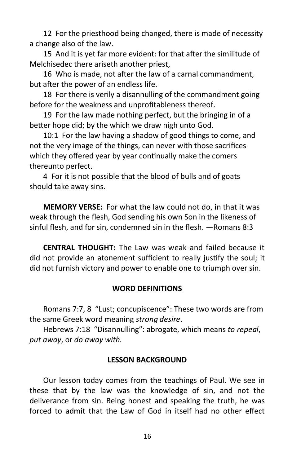12 For the priesthood being changed, there is made of necessity a change also of the law.

15 And it is yet far more evident: for that after the similitude of Melchisedec there ariseth another priest,

16 Who is made, not after the law of a carnal commandment, but after the power of an endless life.

18 For there is verily a disannulling of the commandment going before for the weakness and unprofitableness thereof.

19 For the law made nothing perfect, but the bringing in of a better hope did; by the which we draw nigh unto God.

10:1 For the law having a shadow of good things to come, and not the very image of the things, can never with those sacrifices which they offered year by year continually make the comers thereunto perfect.

4 For it is not possible that the blood of bulls and of goats should take away sins.

**MEMORY VERSE:** For what the law could not do, in that it was weak through the flesh, God sending his own Son in the likeness of sinful flesh, and for sin, condemned sin in the flesh. —Romans 8:3

**CENTRAL THOUGHT:** The Law was weak and failed because it did not provide an atonement sufficient to really justify the soul; it did not furnish victory and power to enable one to triumph over sin.

# **WORD DEFINITIONS**

Romans 7:7, 8 "Lust; concupiscence": These two words are from the same Greek word meaning *strong desire*.

Hebrews 7:18 "Disannulling": abrogate, which means *to repeal*, *put away*, or *do away with.*

#### **LESSON BACKGROUND**

Our lesson today comes from the teachings of Paul. We see in these that by the law was the knowledge of sin, and not the deliverance from sin. Being honest and speaking the truth, he was forced to admit that the Law of God in itself had no other effect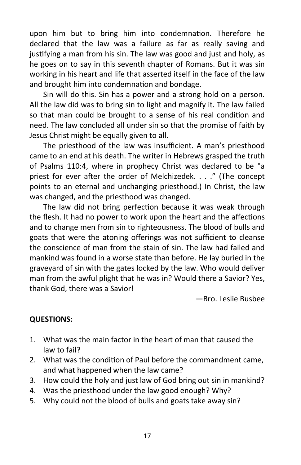upon him but to bring him into condemnation. Therefore he declared that the law was a failure as far as really saving and justifying a man from his sin. The law was good and just and holy, as he goes on to say in this seventh chapter of Romans. But it was sin working in his heart and life that asserted itself in the face of the law and brought him into condemnation and bondage.

Sin will do this. Sin has a power and a strong hold on a person. All the law did was to bring sin to light and magnify it. The law failed so that man could be brought to a sense of his real condition and need. The law concluded all under sin so that the promise of faith by Jesus Christ might be equally given to all.

The priesthood of the law was insufficient. A man's priesthood came to an end at his death. The writer in Hebrews grasped the truth of Psalms 110:4, where in prophecy Christ was declared to be "a priest for ever after the order of Melchizedek. . . ." (The concept points to an eternal and unchanging priesthood.) In Christ, the law was changed, and the priesthood was changed.

The law did not bring perfection because it was weak through the flesh. It had no power to work upon the heart and the affections and to change men from sin to righteousness. The blood of bulls and goats that were the atoning offerings was not sufficient to cleanse the conscience of man from the stain of sin. The law had failed and mankind was found in a worse state than before. He lay buried in the graveyard of sin with the gates locked by the law. Who would deliver man from the awful plight that he was in? Would there a Savior? Yes, thank God, there was a Savior!

—Bro. Leslie Busbee

# **QUESTIONS:**

- 1. What was the main factor in the heart of man that caused the law to fail?
- 2. What was the condition of Paul before the commandment came, and what happened when the law came?
- 3. How could the holy and just law of God bring out sin in mankind?
- 4. Was the priesthood under the law good enough? Why?
- 5. Why could not the blood of bulls and goats take away sin?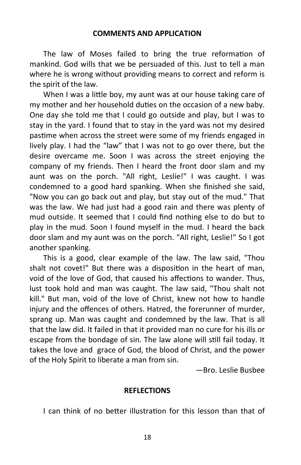#### **COMMENTS AND APPLICATION**

The law of Moses failed to bring the true reformation of mankind. God wills that we be persuaded of this. Just to tell a man where he is wrong without providing means to correct and reform is the spirit of the law.

When I was a little boy, my aunt was at our house taking care of my mother and her household duties on the occasion of a new baby. One day she told me that I could go outside and play, but I was to stay in the yard. I found that to stay in the yard was not my desired pastime when across the street were some of my friends engaged in lively play. I had the "law" that I was not to go over there, but the desire overcame me. Soon I was across the street enjoying the company of my friends. Then I heard the front door slam and my aunt was on the porch. "All right, Leslie!" I was caught. I was condemned to a good hard spanking. When she finished she said, "Now you can go back out and play, but stay out of the mud." That was the law. We had just had a good rain and there was plenty of mud outside. It seemed that I could find nothing else to do but to play in the mud. Soon I found myself in the mud. I heard the back door slam and my aunt was on the porch. "All right, Leslie!" So I got another spanking.

This is a good, clear example of the law. The law said, "Thou shalt not covet!" But there was a disposition in the heart of man, void of the love of God, that caused his affections to wander. Thus, lust took hold and man was caught. The law said, "Thou shalt not kill." But man, void of the love of Christ, knew not how to handle injury and the offences of others. Hatred, the forerunner of murder, sprang up. Man was caught and condemned by the law. That is all that the law did. It failed in that it provided man no cure for his ills or escape from the bondage of sin. The law alone will still fail today. It takes the love and grace of God, the blood of Christ, and the power of the Holy Spirit to liberate a man from sin.

—Bro. Leslie Busbee

#### **REFLECTIONS**

I can think of no better illustration for this lesson than that of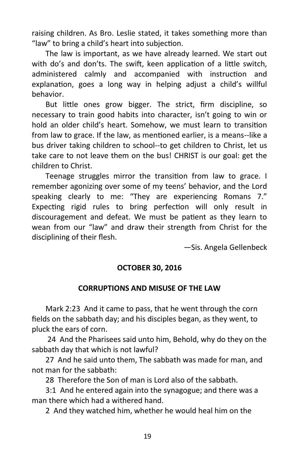raising children. As Bro. Leslie stated, it takes something more than "law" to bring a child's heart into subjection.

The law is important, as we have already learned. We start out with do's and don'ts. The swift, keen application of a little switch, administered calmly and accompanied with instruction and explanation, goes a long way in helping adjust a child's willful behavior.

But little ones grow bigger. The strict, firm discipline, so necessary to train good habits into character, isn't going to win or hold an older child's heart. Somehow, we must learn to transition from law to grace. If the law, as mentioned earlier, is a means--like a bus driver taking children to school--to get children to Christ, let us take care to not leave them on the bus! CHRIST is our goal: get the children to Christ.

Teenage struggles mirror the transition from law to grace. I remember agonizing over some of my teens' behavior, and the Lord speaking clearly to me: "They are experiencing Romans 7." Expecting rigid rules to bring perfection will only result in discouragement and defeat. We must be patient as they learn to wean from our "law" and draw their strength from Christ for the disciplining of their flesh.

—Sis. Angela Gellenbeck

#### **OCTOBER 30, 2016**

#### **CORRUPTIONS AND MISUSE OF THE LAW**

Mark 2:23 And it came to pass, that he went through the corn fields on the sabbath day; and his disciples began, as they went, to pluck the ears of corn.

24 And the Pharisees said unto him, Behold, why do they on the sabbath day that which is not lawful?

27 And he said unto them, The sabbath was made for man, and not man for the sabbath:

28 Therefore the Son of man is Lord also of the sabbath.

3:1 And he entered again into the synagogue; and there was a man there which had a withered hand.

2 And they watched him, whether he would heal him on the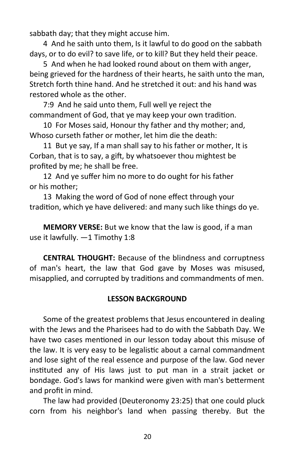sabbath day; that they might accuse him.

4 And he saith unto them, Is it lawful to do good on the sabbath days, or to do evil? to save life, or to kill? But they held their peace.

5 And when he had looked round about on them with anger, being grieved for the hardness of their hearts, he saith unto the man, Stretch forth thine hand. And he stretched it out: and his hand was restored whole as the other.

7:9 And he said unto them, Full well ye reject the commandment of God, that ye may keep your own tradition.

10 For Moses said, Honour thy father and thy mother; and, Whoso curseth father or mother, let him die the death:

11 But ye say, If a man shall say to his father or mother, It is Corban, that is to say, a gift, by whatsoever thou mightest be profited by me; he shall be free.

12 And ye suffer him no more to do ought for his father or his mother;

13 Making the word of God of none effect through your tradition, which ye have delivered: and many such like things do ye.

**MEMORY VERSE:** But we know that the law is good, if a man use it lawfully. —1 Timothy 1:8

**CENTRAL THOUGHT:** Because of the blindness and corruptness of man's heart, the law that God gave by Moses was misused, misapplied, and corrupted by traditions and commandments of men.

# **LESSON BACKGROUND**

Some of the greatest problems that Jesus encountered in dealing with the Jews and the Pharisees had to do with the Sabbath Day. We have two cases mentioned in our lesson today about this misuse of the law. It is very easy to be legalistic about a carnal commandment and lose sight of the real essence and purpose of the law. God never instituted any of His laws just to put man in a strait jacket or bondage. God's laws for mankind were given with man's betterment and profit in mind.

The law had provided (Deuteronomy 23:25) that one could pluck corn from his neighbor's land when passing thereby. But the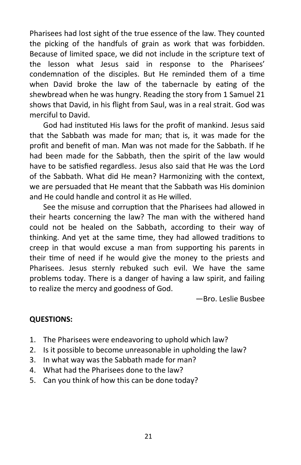Pharisees had lost sight of the true essence of the law. They counted the picking of the handfuls of grain as work that was forbidden. Because of limited space, we did not include in the scripture text of the lesson what Jesus said in response to the Pharisees' condemnation of the disciples. But He reminded them of a time when David broke the law of the tabernacle by eating of the shewbread when he was hungry. Reading the story from 1 Samuel 21 shows that David, in his flight from Saul, was in a real strait. God was merciful to David.

God had instituted His laws for the profit of mankind. Jesus said that the Sabbath was made for man; that is, it was made for the profit and benefit of man. Man was not made for the Sabbath. If he had been made for the Sabbath, then the spirit of the law would have to be satisfied regardless. Jesus also said that He was the Lord of the Sabbath. What did He mean? Harmonizing with the context, we are persuaded that He meant that the Sabbath was His dominion and He could handle and control it as He willed.

See the misuse and corruption that the Pharisees had allowed in their hearts concerning the law? The man with the withered hand could not be healed on the Sabbath, according to their way of thinking. And yet at the same time, they had allowed traditions to creep in that would excuse a man from supporting his parents in their time of need if he would give the money to the priests and Pharisees. Jesus sternly rebuked such evil. We have the same problems today. There is a danger of having a law spirit, and failing to realize the mercy and goodness of God.

—Bro. Leslie Busbee

# **QUESTIONS:**

- 1. The Pharisees were endeavoring to uphold which law?
- 2. Is it possible to become unreasonable in upholding the law?
- 3. In what way was the Sabbath made for man?
- 4. What had the Pharisees done to the law?
- 5. Can you think of how this can be done today?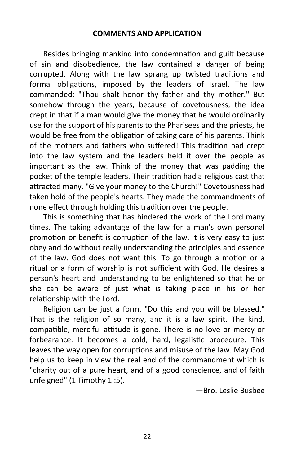#### **COMMENTS AND APPLICATION**

Besides bringing mankind into condemnation and guilt because of sin and disobedience, the law contained a danger of being corrupted. Along with the law sprang up twisted traditions and formal obligations, imposed by the leaders of Israel. The law commanded: "Thou shalt honor thy father and thy mother." But somehow through the years, because of covetousness, the idea crept in that if a man would give the money that he would ordinarily use for the support of his parents to the Pharisees and the priests, he would be free from the obligation of taking care of his parents. Think of the mothers and fathers who suffered! This tradition had crept into the law system and the leaders held it over the people as important as the law. Think of the money that was padding the pocket of the temple leaders. Their tradition had a religious cast that attracted many. "Give your money to the Church!" Covetousness had taken hold of the people's hearts. They made the commandments of none effect through holding this tradition over the people.

This is something that has hindered the work of the Lord many times. The taking advantage of the law for a man's own personal promotion or benefit is corruption of the law. It is very easy to just obey and do without really understanding the principles and essence of the law. God does not want this. To go through a motion or a ritual or a form of worship is not sufficient with God. He desires a person's heart and understanding to be enlightened so that he or she can be aware of just what is taking place in his or her relationship with the Lord.

Religion can be just a form. "Do this and you will be blessed." That is the religion of so many, and it is a law spirit. The kind, compatible, merciful attitude is gone. There is no love or mercy or forbearance. It becomes a cold, hard, legalistic procedure. This leaves the way open for corruptions and misuse of the law. May God help us to keep in view the real end of the commandment which is "charity out of a pure heart, and of a good conscience, and of faith unfeigned" (1 Timothy 1 :5).

—Bro. Leslie Busbee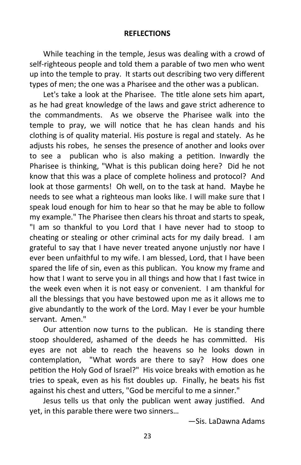#### **REFLECTIONS**

While teaching in the temple, Jesus was dealing with a crowd of self-righteous people and told them a parable of two men who went up into the temple to pray. It starts out describing two very different types of men; the one was a Pharisee and the other was a publican.

 Let's take a look at the Pharisee. The title alone sets him apart, as he had great knowledge of the laws and gave strict adherence to the commandments. As we observe the Pharisee walk into the temple to pray, we will notice that he has clean hands and his clothing is of quality material. His posture is regal and stately. As he adjusts his robes, he senses the presence of another and looks over to see a publican who is also making a petition. Inwardly the Pharisee is thinking, "What is this publican doing here? Did he not know that this was a place of complete holiness and protocol? And look at those garments! Oh well, on to the task at hand. Maybe he needs to see what a righteous man looks like. I will make sure that I speak loud enough for him to hear so that he may be able to follow my example." The Pharisee then clears his throat and starts to speak, "I am so thankful to you Lord that I have never had to stoop to cheating or stealing or other criminal acts for my daily bread. I am grateful to say that I have never treated anyone unjustly nor have I ever been unfaithful to my wife. I am blessed, Lord, that I have been spared the life of sin, even as this publican. You know my frame and how that I want to serve you in all things and how that I fast twice in the week even when it is not easy or convenient. I am thankful for all the blessings that you have bestowed upon me as it allows me to give abundantly to the work of the Lord. May I ever be your humble servant. Amen."

 Our attention now turns to the publican. He is standing there stoop shouldered, ashamed of the deeds he has committed. His eyes are not able to reach the heavens so he looks down in contemplation, "What words are there to say? How does one petition the Holy God of Israel?" His voice breaks with emotion as he tries to speak, even as his fist doubles up. Finally, he beats his fist against his chest and utters, "God be merciful to me a sinner."

 Jesus tells us that only the publican went away justified. And yet, in this parable there were two sinners…

—Sis. LaDawna Adams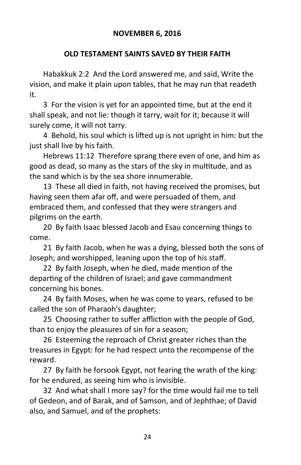## **NOVEMBER 6, 2016**

#### **OLD TESTAMENT SAINTS SAVED BY THEIR FAITH**

Habakkuk 2:2 And the Lord answered me, and said, Write the vision, and make it plain upon tables, that he may run that readeth it.

3 For the vision is yet for an appointed time, but at the end it shall speak, and not lie: though it tarry, wait for it; because it will surely come, it will not tarry.

4 Behold, his soul which is lifted up is not upright in him: but the just shall live by his faith.

Hebrews 11:12 Therefore sprang there even of one, and him as good as dead, so many as the stars of the sky in multitude, and as the sand which is by the sea shore innumerable.

13 These all died in faith, not having received the promises, but having seen them afar off, and were persuaded of them, and embraced them, and confessed that they were strangers and pilgrims on the earth.

20 By faith Isaac blessed Jacob and Esau concerning things to come.

21 By faith Jacob, when he was a dying, blessed both the sons of Joseph; and worshipped, leaning upon the top of his staff.

22 By faith Joseph, when he died, made mention of the departing of the children of Israel; and gave commandment concerning his bones.

24 By faith Moses, when he was come to years, refused to be called the son of Pharaoh's daughter;

25 Choosing rather to suffer affliction with the people of God, than to enjoy the pleasures of sin for a season;

26 Esteeming the reproach of Christ greater riches than the treasures in Egypt: for he had respect unto the recompense of the reward.

27 By faith he forsook Egypt, not fearing the wrath of the king: for he endured, as seeing him who is invisible.

32 And what shall I more say? for the time would fail me to tell of Gedeon, and of Barak, and of Samson, and of Jephthae; of David also, and Samuel, and of the prophets: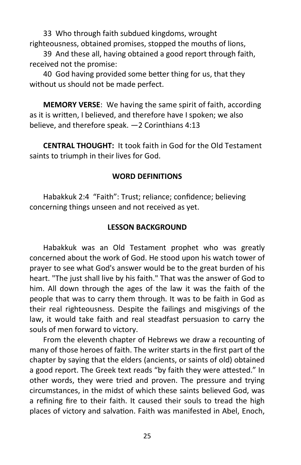33 Who through faith subdued kingdoms, wrought righteousness, obtained promises, stopped the mouths of lions,

39 And these all, having obtained a good report through faith, received not the promise:

40 God having provided some better thing for us, that they without us should not be made perfect.

**MEMORY VERSE**: We having the same spirit of faith, according as it is written, I believed, and therefore have I spoken; we also believe, and therefore speak. —2 Corinthians 4:13

**CENTRAL THOUGHT:** It took faith in God for the Old Testament saints to triumph in their lives for God.

#### **WORD DEFINITIONS**

Habakkuk 2:4 "Faith": Trust; reliance; confidence; believing concerning things unseen and not received as yet.

#### **LESSON BACKGROUND**

Habakkuk was an Old Testament prophet who was greatly concerned about the work of God. He stood upon his watch tower of prayer to see what God's answer would be to the great burden of his heart. "The just shall live by his faith." That was the answer of God to him. All down through the ages of the law it was the faith of the people that was to carry them through. It was to be faith in God as their real righteousness. Despite the failings and misgivings of the law, it would take faith and real steadfast persuasion to carry the souls of men forward to victory.

From the eleventh chapter of Hebrews we draw a recounting of many of those heroes of faith. The writer starts in the first part of the chapter by saying that the elders (ancients, or saints of old) obtained a good report. The Greek text reads "by faith they were attested." In other words, they were tried and proven. The pressure and trying circumstances, in the midst of which these saints believed God, was a refining fire to their faith. It caused their souls to tread the high places of victory and salvation. Faith was manifested in Abel, Enoch,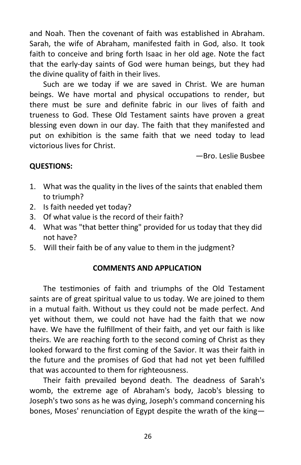and Noah. Then the covenant of faith was established in Abraham. Sarah, the wife of Abraham, manifested faith in God, also. It took faith to conceive and bring forth Isaac in her old age. Note the fact that the early-day saints of God were human beings, but they had the divine quality of faith in their lives.

Such are we today if we are saved in Christ. We are human beings. We have mortal and physical occupations to render, but there must be sure and definite fabric in our lives of faith and trueness to God. These Old Testament saints have proven a great blessing even down in our day. The faith that they manifested and put on exhibition is the same faith that we need today to lead victorious lives for Christ.

—Bro. Leslie Busbee

# **QUESTIONS:**

- 1. What was the quality in the lives of the saints that enabled them to triumph?
- 2. Is faith needed yet today?
- 3. Of what value is the record of their faith?
- 4. What was "that better thing" provided for us today that they did not have?
- 5. Will their faith be of any value to them in the judgment?

# **COMMENTS AND APPLICATION**

The testimonies of faith and triumphs of the Old Testament saints are of great spiritual value to us today. We are joined to them in a mutual faith. Without us they could not be made perfect. And yet without them, we could not have had the faith that we now have. We have the fulfillment of their faith, and yet our faith is like theirs. We are reaching forth to the second coming of Christ as they looked forward to the first coming of the Savior. It was their faith in the future and the promises of God that had not yet been fulfilled that was accounted to them for righteousness.

Their faith prevailed beyond death. The deadness of Sarah's womb, the extreme age of Abraham's body, Jacob's blessing to Joseph's two sons as he was dying, Joseph's command concerning his bones, Moses' renunciation of Egypt despite the wrath of the king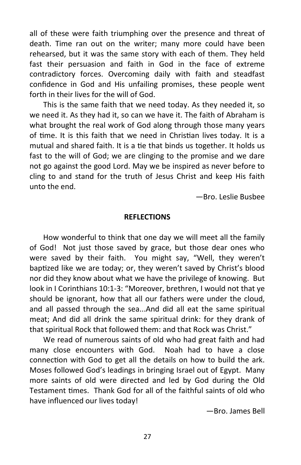all of these were faith triumphing over the presence and threat of death. Time ran out on the writer; many more could have been rehearsed, but it was the same story with each of them. They held fast their persuasion and faith in God in the face of extreme contradictory forces. Overcoming daily with faith and steadfast confidence in God and His unfailing promises, these people went forth in their lives for the will of God.

This is the same faith that we need today. As they needed it, so we need it. As they had it, so can we have it. The faith of Abraham is what brought the real work of God along through those many years of time. It is this faith that we need in Christian lives today. It is a mutual and shared faith. It is a tie that binds us together. It holds us fast to the will of God; we are clinging to the promise and we dare not go against the good Lord. May we be inspired as never before to cling to and stand for the truth of Jesus Christ and keep His faith unto the end.

—Bro. Leslie Busbee

#### **REFLECTIONS**

How wonderful to think that one day we will meet all the family of God! Not just those saved by grace, but those dear ones who were saved by their faith. You might say, "Well, they weren't baptized like we are today; or, they weren't saved by Christ's blood nor did they know about what we have the privilege of knowing. But look in I Corinthians 10:1-3: "Moreover, brethren, I would not that ye should be ignorant, how that all our fathers were under the cloud, and all passed through the sea...And did all eat the same spiritual meat; And did all drink the same spiritual drink: for they drank of that spiritual Rock that followed them: and that Rock was Christ."

We read of numerous saints of old who had great faith and had many close encounters with God. Noah had to have a close connection with God to get all the details on how to build the ark. Moses followed God's leadings in bringing Israel out of Egypt. Many more saints of old were directed and led by God during the Old Testament times. Thank God for all of the faithful saints of old who have influenced our lives today!

—Bro. James Bell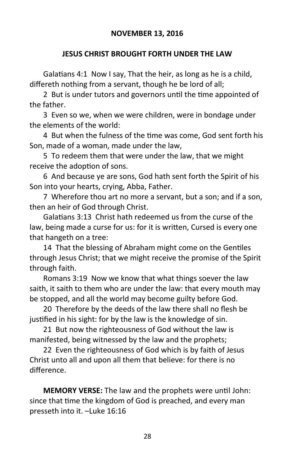# **JESUS CHRIST BROUGHT FORTH UNDER THE LAW**

Galatians 4:1 Now I say, That the heir, as long as he is a child, differeth nothing from a servant, though he be lord of all;

2 But is under tutors and governors until the time appointed of the father.

3 Even so we, when we were children, were in bondage under the elements of the world:

4 But when the fulness of the time was come, God sent forth his Son, made of a woman, made under the law,

5 To redeem them that were under the law, that we might receive the adoption of sons.

6 And because ye are sons, God hath sent forth the Spirit of his Son into your hearts, crying, Abba, Father.

7 Wherefore thou art no more a servant, but a son; and if a son, then an heir of God through Christ.

Galatians 3:13 Christ hath redeemed us from the curse of the law, being made a curse for us: for it is written, Cursed is every one that hangeth on a tree:

14 That the blessing of Abraham might come on the Gentiles through Jesus Christ; that we might receive the promise of the Spirit through faith.

Romans 3:19 Now we know that what things soever the law saith, it saith to them who are under the law: that every mouth may be stopped, and all the world may become guilty before God.

20 Therefore by the deeds of the law there shall no flesh be justified in his sight: for by the law is the knowledge of sin.

21 But now the righteousness of God without the law is manifested, being witnessed by the law and the prophets;

22 Even the righteousness of God which is by faith of Jesus Christ unto all and upon all them that believe: for there is no difference.

**MEMORY VERSE:** The law and the prophets were until John: since that time the kingdom of God is preached, and every man presseth into it. –Luke 16:16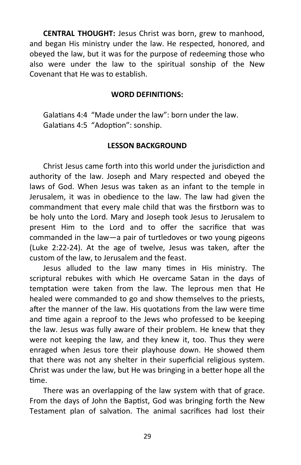**CENTRAL THOUGHT:** Jesus Christ was born, grew to manhood, and began His ministry under the law. He respected, honored, and obeyed the law, but it was for the purpose of redeeming those who also were under the law to the spiritual sonship of the New Covenant that He was to establish.

#### **WORD DEFINITIONS:**

Galatians 4:4 "Made under the law": born under the law. Galatians 4:5 "Adoption": sonship.

#### **LESSON BACKGROUND**

Christ Jesus came forth into this world under the jurisdiction and authority of the law. Joseph and Mary respected and obeyed the laws of God. When Jesus was taken as an infant to the temple in Jerusalem, it was in obedience to the law. The law had given the commandment that every male child that was the firstborn was to be holy unto the Lord. Mary and Joseph took Jesus to Jerusalem to present Him to the Lord and to offer the sacrifice that was commanded in the law—a pair of turtledoves or two young pigeons (Luke 2:22-24). At the age of twelve, Jesus was taken, after the custom of the law, to Jerusalem and the feast.

Jesus alluded to the law many times in His ministry. The scriptural rebukes with which He overcame Satan in the days of temptation were taken from the law. The leprous men that He healed were commanded to go and show themselves to the priests, after the manner of the law. His quotations from the law were time and time again a reproof to the Jews who professed to be keeping the law. Jesus was fully aware of their problem. He knew that they were not keeping the law, and they knew it, too. Thus they were enraged when Jesus tore their playhouse down. He showed them that there was not any shelter in their superficial religious system. Christ was under the law, but He was bringing in a better hope all the time.

There was an overlapping of the law system with that of grace. From the days of John the Baptist, God was bringing forth the New Testament plan of salvation. The animal sacrifices had lost their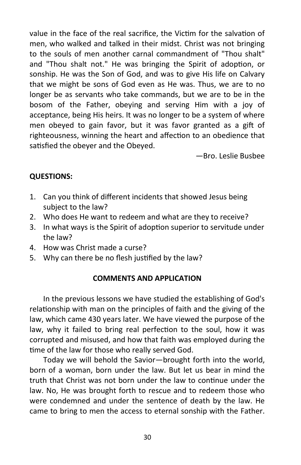value in the face of the real sacrifice, the Victim for the salvation of men, who walked and talked in their midst. Christ was not bringing to the souls of men another carnal commandment of "Thou shalt" and "Thou shalt not." He was bringing the Spirit of adoption, or sonship. He was the Son of God, and was to give His life on Calvary that we might be sons of God even as He was. Thus, we are to no longer be as servants who take commands, but we are to be in the bosom of the Father, obeying and serving Him with a joy of acceptance, being His heirs. It was no longer to be a system of where men obeyed to gain favor, but it was favor granted as a gift of righteousness, winning the heart and affection to an obedience that satisfied the obeyer and the Obeyed.

—Bro. Leslie Busbee

# **QUESTIONS:**

- 1. Can you think of different incidents that showed Jesus being subject to the law?
- 2. Who does He want to redeem and what are they to receive?
- 3. In what ways is the Spirit of adoption superior to servitude under the law?
- 4. How was Christ made a curse?
- 5. Why can there be no flesh justified by the law?

# **COMMENTS AND APPLICATION**

In the previous lessons we have studied the establishing of God's relationship with man on the principles of faith and the giving of the law, which came 430 years later. We have viewed the purpose of the law, why it failed to bring real perfection to the soul, how it was corrupted and misused, and how that faith was employed during the time of the law for those who really served God.

Today we will behold the Savior—brought forth into the world, born of a woman, born under the law. But let us bear in mind the truth that Christ was not born under the law to continue under the law. No, He was brought forth to rescue and to redeem those who were condemned and under the sentence of death by the law. He came to bring to men the access to eternal sonship with the Father.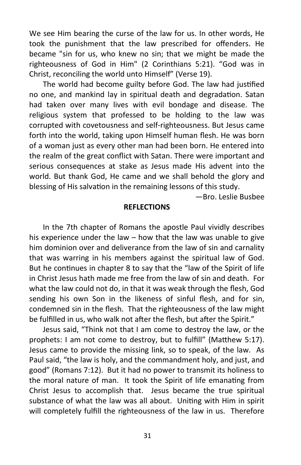We see Him bearing the curse of the law for us. In other words, He took the punishment that the law prescribed for offenders. He became "sin for us, who knew no sin; that we might be made the righteousness of God in Him" (2 Corinthians 5:21). "God was in Christ, reconciling the world unto Himself" (Verse 19).

The world had become guilty before God. The law had justified no one, and mankind lay in spiritual death and degradation. Satan had taken over many lives with evil bondage and disease. The religious system that professed to be holding to the law was corrupted with covetousness and self-righteousness. But Jesus came forth into the world, taking upon Himself human flesh. He was born of a woman just as every other man had been born. He entered into the realm of the great conflict with Satan. There were important and serious consequences at stake as Jesus made His advent into the world. But thank God, He came and we shall behold the glory and blessing of His salvation in the remaining lessons of this study.

—Bro. Leslie Busbee

# **REFLECTIONS**

In the 7th chapter of Romans the apostle Paul vividly describes his experience under the law – how that the law was unable to give him dominion over and deliverance from the law of sin and carnality that was warring in his members against the spiritual law of God. But he continues in chapter 8 to say that the "law of the Spirit of life in Christ Jesus hath made me free from the law of sin and death. For what the law could not do, in that it was weak through the flesh, God sending his own Son in the likeness of sinful flesh, and for sin, condemned sin in the flesh. That the righteousness of the law might be fulfilled in us, who walk not after the flesh, but after the Spirit."

Jesus said, "Think not that I am come to destroy the law, or the prophets: I am not come to destroy, but to fulfill" (Matthew 5:17). Jesus came to provide the missing link, so to speak, of the law. As Paul said, "the law is holy, and the commandment holy, and just, and good" (Romans 7:12). But it had no power to transmit its holiness to the moral nature of man. It took the Spirit of life emanating from Christ Jesus to accomplish that. Jesus became the true spiritual substance of what the law was all about. Uniting with Him in spirit will completely fulfill the righteousness of the law in us. Therefore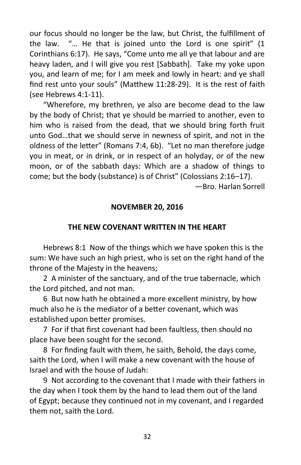our focus should no longer be the law, but Christ, the fulfillment of the law. "… He that is joined unto the Lord is one spirit" (1 Corinthians 6:17). He says, "Come unto me all ye that labour and are heavy laden, and I will give you rest [Sabbath]. Take my yoke upon you, and learn of me; for I am meek and lowly in heart: and ye shall find rest unto your souls" (Matthew 11:28-29). It is the rest of faith (see Hebrews 4:1-11).

"Wherefore, my brethren, ye also are become dead to the law by the body of Christ; that ye should be married to another, even to him who is raised from the dead, that we should bring forth fruit unto God…that we should serve in newness of spirit, and not in the oldness of the letter" (Romans 7:4, 6b). "Let no man therefore judge you in meat, or in drink, or in respect of an holyday, or of the new moon, or of the sabbath days: Which are a shadow of things to come; but the body (substance) is of Christ" (Colossians 2:16–17).

—Bro. Harlan Sorrell

# **NOVEMBER 20, 2016**

#### **THE NEW COVENANT WRITTEN IN THE HEART**

Hebrews 8:1 Now of the things which we have spoken this is the sum: We have such an high priest, who is set on the right hand of the throne of the Majesty in the heavens;

2 A minister of the sanctuary, and of the true tabernacle, which the Lord pitched, and not man.

6 But now hath he obtained a more excellent ministry, by how much also he is the mediator of a better covenant, which was established upon better promises.

7 For if that first covenant had been faultless, then should no place have been sought for the second.

8 For finding fault with them, he saith, Behold, the days come, saith the Lord, when I will make a new covenant with the house of Israel and with the house of Judah:

9 Not according to the covenant that I made with their fathers in the day when I took them by the hand to lead them out of the land of Egypt; because they continued not in my covenant, and I regarded them not, saith the Lord.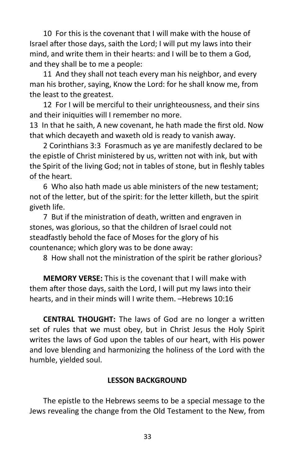10 For this is the covenant that I will make with the house of Israel after those days, saith the Lord; I will put my laws into their mind, and write them in their hearts: and I will be to them a God, and they shall be to me a people:

11 And they shall not teach every man his neighbor, and every man his brother, saying, Know the Lord: for he shall know me, from the least to the greatest.

12 For I will be merciful to their unrighteousness, and their sins and their iniquities will I remember no more.

13 In that he saith, A new covenant, he hath made the first old. Now that which decayeth and waxeth old is ready to vanish away.

2 Corinthians 3:3 Forasmuch as ye are manifestly declared to be the epistle of Christ ministered by us, written not with ink, but with the Spirit of the living God; not in tables of stone, but in fleshly tables of the heart.

6 Who also hath made us able ministers of the new testament; not of the letter, but of the spirit: for the letter killeth, but the spirit giveth life.

7 But if the ministration of death, written and engraven in stones, was glorious, so that the children of Israel could not steadfastly behold the face of Moses for the glory of his countenance; which glory was to be done away:

8 How shall not the ministration of the spirit be rather glorious?

**MEMORY VERSE:** This is the covenant that I will make with them after those days, saith the Lord, I will put my laws into their hearts, and in their minds will I write them. –Hebrews 10:16

**CENTRAL THOUGHT:** The laws of God are no longer a written set of rules that we must obey, but in Christ Jesus the Holy Spirit writes the laws of God upon the tables of our heart, with His power and love blending and harmonizing the holiness of the Lord with the humble, yielded soul.

#### **LESSON BACKGROUND**

The epistle to the Hebrews seems to be a special message to the Jews revealing the change from the Old Testament to the New, from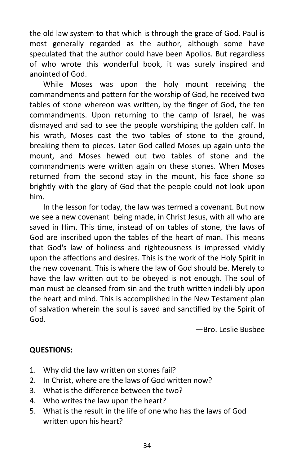the old law system to that which is through the grace of God. Paul is most generally regarded as the author, although some have speculated that the author could have been Apollos. But regardless of who wrote this wonderful book, it was surely inspired and anointed of God.

While Moses was upon the holy mount receiving the commandments and pattern for the worship of God, he received two tables of stone whereon was written, by the finger of God, the ten commandments. Upon returning to the camp of Israel, he was dismayed and sad to see the people worshiping the golden calf. In his wrath, Moses cast the two tables of stone to the ground, breaking them to pieces. Later God called Moses up again unto the mount, and Moses hewed out two tables of stone and the commandments were written again on these stones. When Moses returned from the second stay in the mount, his face shone so brightly with the glory of God that the people could not look upon him.

In the lesson for today, the law was termed a covenant. But now we see a new covenant being made, in Christ Jesus, with all who are saved in Him. This time, instead of on tables of stone, the laws of God are inscribed upon the tables of the heart of man. This means that God's law of holiness and righteousness is impressed vividly upon the affections and desires. This is the work of the Holy Spirit in the new covenant. This is where the law of God should be. Merely to have the law written out to be obeyed is not enough. The soul of man must be cleansed from sin and the truth written indeli-bly upon the heart and mind. This is accomplished in the New Testament plan of salvation wherein the soul is saved and sanctified by the Spirit of God.

—Bro. Leslie Busbee

# **QUESTIONS:**

- 1. Why did the law written on stones fail?
- 2. In Christ, where are the laws of God written now?
- 3. What is the difference between the two?
- 4. Who writes the law upon the heart?
- 5. What is the result in the life of one who has the laws of God written upon his heart?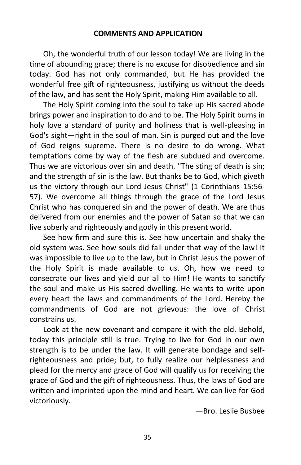#### **COMMENTS AND APPLICATION**

Oh, the wonderful truth of our lesson today! We are living in the time of abounding grace; there is no excuse for disobedience and sin today. God has not only commanded, but He has provided the wonderful free gift of righteousness, justifying us without the deeds of the law, and has sent the Holy Spirit, making Him available to all.

The Holy Spirit coming into the soul to take up His sacred abode brings power and inspiration to do and to be. The Holy Spirit burns in holy love a standard of purity and holiness that is well-pleasing in God's sight—right in the soul of man. Sin is purged out and the love of God reigns supreme. There is no desire to do wrong. What temptations come by way of the flesh are subdued and overcome. Thus we are victorious over sin and death. ''The sting of death is sin; and the strength of sin is the law. But thanks be to God, which giveth us the victory through our Lord Jesus Christ" (1 Corinthians 15:56- 57). We overcome all things through the grace of the Lord Jesus Christ who has conquered sin and the power of death. We are thus delivered from our enemies and the power of Satan so that we can live soberly and righteously and godly in this present world.

See how firm and sure this is. See how uncertain and shaky the old system was. See how souls did fail under that way of the law! It was impossible to live up to the law, but in Christ Jesus the power of the Holy Spirit is made available to us. Oh, how we need to consecrate our lives and yield our all to Him! He wants to sanctify the soul and make us His sacred dwelling. He wants to write upon every heart the laws and commandments of the Lord. Hereby the commandments of God are not grievous: the love of Christ constrains us.

Look at the new covenant and compare it with the old. Behold, today this principle still is true. Trying to live for God in our own strength is to be under the law. It will generate bondage and selfrighteousness and pride; but, to fully realize our helplessness and plead for the mercy and grace of God will qualify us for receiving the grace of God and the gift of righteousness. Thus, the laws of God are written and imprinted upon the mind and heart. We can live for God victoriously.

—Bro. Leslie Busbee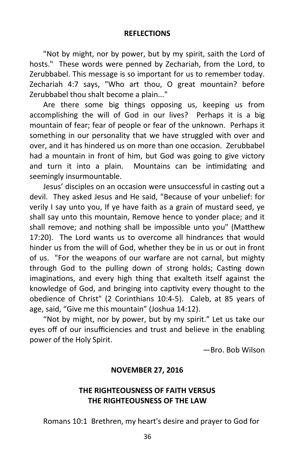#### **REFLECTIONS**

"Not by might, nor by power, but by my spirit, saith the Lord of hosts." These words were penned by Zechariah, from the Lord, to Zerubbabel. This message is so important for us to remember today. Zechariah 4:7 says, "Who art thou, O great mountain? before Zerubbabel thou shalt become a plain..."

Are there some big things opposing us, keeping us from accomplishing the will of God in our lives? Perhaps it is a big mountain of fear; fear of people or fear of the unknown. Perhaps it something in our personality that we have struggled with over and over, and it has hindered us on more than one occasion. Zerubbabel had a mountain in front of him, but God was going to give victory and turn it into a plain. Mountains can be intimidating and seemingly insurmountable.

Jesus' disciples on an occasion were unsuccessful in casting out a devil. They asked Jesus and He said, "Because of your unbelief: for verily I say unto you, If ye have faith as a grain of mustard seed, ye shall say unto this mountain, Remove hence to yonder place; and it shall remove; and nothing shall be impossible unto you" (Matthew 17:20). The Lord wants us to overcome all hindrances that would hinder us from the will of God, whether they be in us or out in front of us. "For the weapons of our warfare are not carnal, but mighty through God to the pulling down of strong holds; Casting down imaginations, and every high thing that exalteth itself against the knowledge of God, and bringing into captivity every thought to the obedience of Christ" (2 Corinthians 10:4-5). Caleb, at 85 years of age, said, "Give me this mountain" (Joshua 14:12).

"Not by might, nor by power, but by my spirit." Let us take our eyes off of our insufficiencies and trust and believe in the enabling power of the Holy Spirit.

—Bro. Bob Wilson

#### **NOVEMBER 27, 2016**

# **THE RIGHTEOUSNESS OF FAITH VERSUS THE RIGHTEOUSNESS OF THE LAW**

Romans 10:1 Brethren, my heart's desire and prayer to God for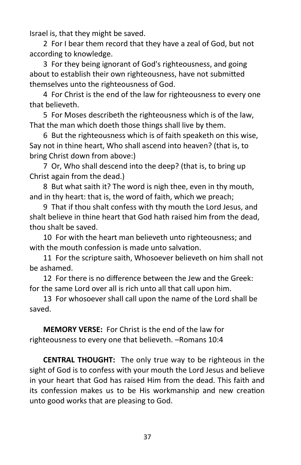Israel is, that they might be saved.

2 For I bear them record that they have a zeal of God, but not according to knowledge.

3 For they being ignorant of God's righteousness, and going about to establish their own righteousness, have not submitted themselves unto the righteousness of God.

4 For Christ is the end of the law for righteousness to every one that believeth.

5 For Moses describeth the righteousness which is of the law, That the man which doeth those things shall live by them.

6 But the righteousness which is of faith speaketh on this wise, Say not in thine heart, Who shall ascend into heaven? (that is, to bring Christ down from above:)

7 Or, Who shall descend into the deep? (that is, to bring up Christ again from the dead.)

8 But what saith it? The word is nigh thee, even in thy mouth, and in thy heart: that is, the word of faith, which we preach;

9 That if thou shalt confess with thy mouth the Lord Jesus, and shalt believe in thine heart that God hath raised him from the dead, thou shalt be saved.

10 For with the heart man believeth unto righteousness; and with the mouth confession is made unto salvation.

11 For the scripture saith, Whosoever believeth on him shall not be ashamed.

12 For there is no difference between the Jew and the Greek: for the same Lord over all is rich unto all that call upon him.

13 For whosoever shall call upon the name of the Lord shall be saved.

**MEMORY VERSE:** For Christ is the end of the law for righteousness to every one that believeth. –Romans 10:4

**CENTRAL THOUGHT:** The only true way to be righteous in the sight of God is to confess with your mouth the Lord Jesus and believe in your heart that God has raised Him from the dead. This faith and its confession makes us to be His workmanship and new creation unto good works that are pleasing to God.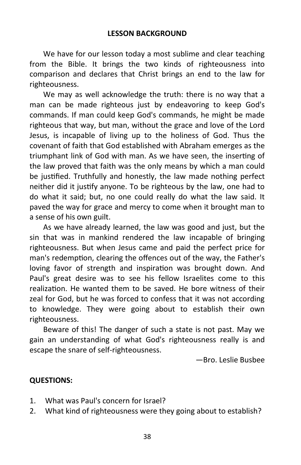We have for our lesson today a most sublime and clear teaching from the Bible. It brings the two kinds of righteousness into comparison and declares that Christ brings an end to the law for righteousness.

We may as well acknowledge the truth: there is no way that a man can be made righteous just by endeavoring to keep God's commands. If man could keep God's commands, he might be made righteous that way, but man, without the grace and love of the Lord Jesus, is incapable of living up to the holiness of God. Thus the covenant of faith that God established with Abraham emerges as the triumphant link of God with man. As we have seen, the inserting of the law proved that faith was the only means by which a man could be justified. Truthfully and honestly, the law made nothing perfect neither did it justify anyone. To be righteous by the law, one had to do what it said; but, no one could really do what the law said. It paved the way for grace and mercy to come when it brought man to a sense of his own guilt.

As we have already learned, the law was good and just, but the sin that was in mankind rendered the law incapable of bringing righteousness. But when Jesus came and paid the perfect price for man's redemption, clearing the offences out of the way, the Father's loving favor of strength and inspiration was brought down. And Paul's great desire was to see his fellow Israelites come to this realization. He wanted them to be saved. He bore witness of their zeal for God, but he was forced to confess that it was not according to knowledge. They were going about to establish their own righteousness.

Beware of this! The danger of such a state is not past. May we gain an understanding of what God's righteousness really is and escape the snare of self-righteousness.

—Bro. Leslie Busbee

# **QUESTIONS:**

- 1. What was Paul's concern for Israel?
- 2. What kind of righteousness were they going about to establish?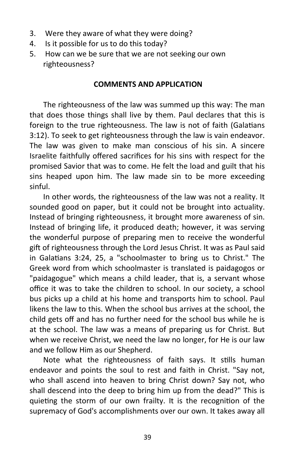- 3. Were they aware of what they were doing?
- 4. Is it possible for us to do this today?
- 5. How can we be sure that we are not seeking our own righteousness?

#### **COMMENTS AND APPLICATION**

The righteousness of the law was summed up this way: The man that does those things shall live by them. Paul declares that this is foreign to the true righteousness. The law is not of faith (Galatians 3:12). To seek to get righteousness through the law is vain endeavor. The law was given to make man conscious of his sin. A sincere Israelite faithfully offered sacrifices for his sins with respect for the promised Savior that was to come. He felt the load and guilt that his sins heaped upon him. The law made sin to be more exceeding sinful.

In other words, the righteousness of the law was not a reality. It sounded good on paper, but it could not be brought into actuality. Instead of bringing righteousness, it brought more awareness of sin. Instead of bringing life, it produced death; however, it was serving the wonderful purpose of preparing men to receive the wonderful gift of righteousness through the Lord Jesus Christ. It was as Paul said in Galatians 3:24, 25, a "schoolmaster to bring us to Christ." The Greek word from which schoolmaster is translated is paidagogos or "paidagogue" which means a child leader, that is, a servant whose office it was to take the children to school. In our society, a school bus picks up a child at his home and transports him to school. Paul likens the law to this. When the school bus arrives at the school, the child gets off and has no further need for the school bus while he is at the school. The law was a means of preparing us for Christ. But when we receive Christ, we need the law no longer, for He is our law and we follow Him as our Shepherd.

Note what the righteousness of faith says. It stills human endeavor and points the soul to rest and faith in Christ. "Say not, who shall ascend into heaven to bring Christ down? Say not, who shall descend into the deep to bring him up from the dead?" This is quieting the storm of our own frailty. It is the recognition of the supremacy of God's accomplishments over our own. It takes away all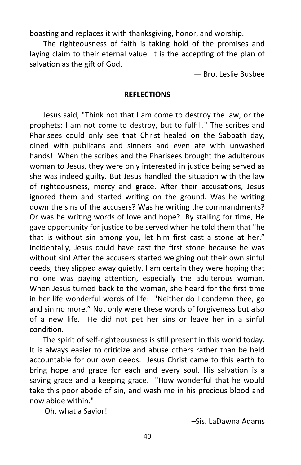boasting and replaces it with thanksgiving, honor, and worship.

The righteousness of faith is taking hold of the promises and laying claim to their eternal value. It is the accepting of the plan of salvation as the gift of God.

— Bro. Leslie Busbee

#### **REFLECTIONS**

Jesus said, "Think not that I am come to destroy the law, or the prophets: I am not come to destroy, but to fulfill." The scribes and Pharisees could only see that Christ healed on the Sabbath day, dined with publicans and sinners and even ate with unwashed hands! When the scribes and the Pharisees brought the adulterous woman to Jesus, they were only interested in justice being served as she was indeed guilty. But Jesus handled the situation with the law of righteousness, mercy and grace. After their accusations, Jesus ignored them and started writing on the ground. Was he writing down the sins of the accusers? Was he writing the commandments? Or was he writing words of love and hope? By stalling for time, He gave opportunity for justice to be served when he told them that "he that is without sin among you, let him first cast a stone at her." Incidentally, Jesus could have cast the first stone because he was without sin! After the accusers started weighing out their own sinful deeds, they slipped away quietly. I am certain they were hoping that no one was paying attention, especially the adulterous woman. When Jesus turned back to the woman, she heard for the first time in her life wonderful words of life: "Neither do I condemn thee, go and sin no more." Not only were these words of forgiveness but also of a new life. He did not pet her sins or leave her in a sinful condition.

 The spirit of self-righteousness is still present in this world today. It is always easier to criticize and abuse others rather than be held accountable for our own deeds. Jesus Christ came to this earth to bring hope and grace for each and every soul. His salvation is a saving grace and a keeping grace. "How wonderful that he would take this poor abode of sin, and wash me in his precious blood and now abide within."

Oh, what a Savior!

–Sis. LaDawna Adams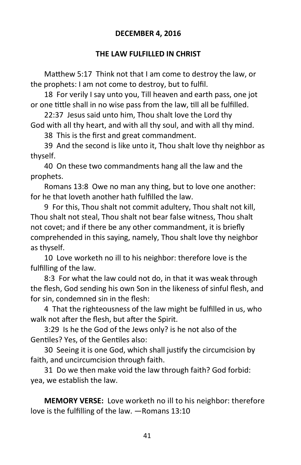# **DECEMBER 4, 2016**

# **THE LAW FULFILLED IN CHRIST**

Matthew 5:17 Think not that I am come to destroy the law, or the prophets: I am not come to destroy, but to fulfil.

18 For verily I say unto you, Till heaven and earth pass, one jot or one tittle shall in no wise pass from the law, till all be fulfilled.

22:37 Jesus said unto him, Thou shalt love the Lord thy God with all thy heart, and with all thy soul, and with all thy mind.

38 This is the first and great commandment.

39 And the second is like unto it, Thou shalt love thy neighbor as thyself.

40 On these two commandments hang all the law and the prophets.

Romans 13:8 Owe no man any thing, but to love one another: for he that loveth another hath fulfilled the law.

9 For this, Thou shalt not commit adultery, Thou shalt not kill, Thou shalt not steal, Thou shalt not bear false witness, Thou shalt not covet; and if there be any other commandment, it is briefly comprehended in this saying, namely, Thou shalt love thy neighbor as thyself.

10 Love worketh no ill to his neighbor: therefore love is the fulfilling of the law.

8:3 For what the law could not do, in that it was weak through the flesh, God sending his own Son in the likeness of sinful flesh, and for sin, condemned sin in the flesh:

4 That the righteousness of the law might be fulfilled in us, who walk not after the flesh, but after the Spirit.

3:29 Is he the God of the Jews only? is he not also of the Gentiles? Yes, of the Gentiles also:

30 Seeing it is one God, which shall justify the circumcision by faith, and uncircumcision through faith.

31 Do we then make void the law through faith? God forbid: yea, we establish the law.

**MEMORY VERSE:** Love worketh no ill to his neighbor: therefore love is the fulfilling of the law. —Romans 13:10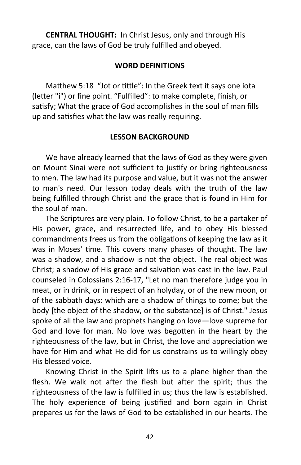**CENTRAL THOUGHT:** In Christ Jesus, only and through His grace, can the laws of God be truly fulfilled and obeyed.

#### **WORD DEFINITIONS**

Matthew 5:18 "Jot or tittle": In the Greek text it says one iota (letter "i") or fine point. "Fulfilled": to make complete, finish, or satisfy; What the grace of God accomplishes in the soul of man fills up and satisfies what the law was really requiring.

#### **LESSON BACKGROUND**

We have already learned that the laws of God as they were given on Mount Sinai were not sufficient to justify or bring righteousness to men. The law had its purpose and value, but it was not the answer to man's need. Our lesson today deals with the truth of the law being fulfilled through Christ and the grace that is found in Him for the soul of man.

The Scriptures are very plain. To follow Christ, to be a partaker of His power, grace, and resurrected life, and to obey His blessed commandments frees us from the obligations of keeping the law as it was in Moses' time. This covers many phases of thought. The law was a shadow, and a shadow is not the object. The real object was Christ; a shadow of His grace and salvation was cast in the law. Paul counseled in Colossians 2:16-17, "Let no man therefore judge you in meat, or in drink, or in respect of an holyday, or of the new moon, or of the sabbath days: which are a shadow of things to come; but the body [the object of the shadow, or the substance] is of Christ." Jesus spoke of all the law and prophets hanging on love—love supreme for God and love for man. No love was begotten in the heart by the righteousness of the law, but in Christ, the love and appreciation we have for Him and what He did for us constrains us to willingly obey His blessed voice.

Knowing Christ in the Spirit lifts us to a plane higher than the flesh. We walk not after the flesh but after the spirit; thus the righteousness of the law is fulfilled in us; thus the law is established. The holy experience of being justified and born again in Christ prepares us for the laws of God to be established in our hearts. The

42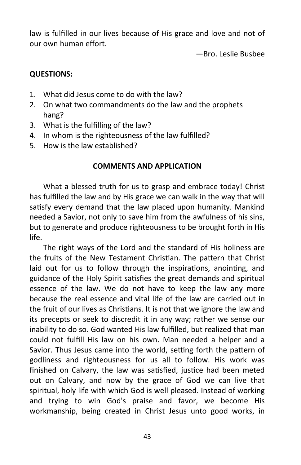law is fulfilled in our lives because of His grace and love and not of our own human effort.

—Bro. Leslie Busbee

# **QUESTIONS:**

- 1. What did Jesus come to do with the law?
- 2. On what two commandments do the law and the prophets hang?
- 3. What is the fulfilling of the law?
- 4. In whom is the righteousness of the law fulfilled?
- 5. How is the law established?

# **COMMENTS AND APPLICATION**

What a blessed truth for us to grasp and embrace today! Christ has fulfilled the law and by His grace we can walk in the way that will satisfy every demand that the law placed upon humanity. Mankind needed a Savior, not only to save him from the awfulness of his sins, but to generate and produce righteousness to be brought forth in His life.

The right ways of the Lord and the standard of His holiness are the fruits of the New Testament Christian. The pattern that Christ laid out for us to follow through the inspirations, anointing, and guidance of the Holy Spirit satisfies the great demands and spiritual essence of the law. We do not have to keep the law any more because the real essence and vital life of the law are carried out in the fruit of our lives as Christians. It is not that we ignore the law and its precepts or seek to discredit it in any way; rather we sense our inability to do so. God wanted His law fulfilled, but realized that man could not fulfill His law on his own. Man needed a helper and a Savior. Thus Jesus came into the world, setting forth the pattern of godliness and righteousness for us all to follow. His work was finished on Calvary, the law was satisfied, justice had been meted out on Calvary, and now by the grace of God we can live that spiritual, holy life with which God is well pleased. Instead of working and trying to win God's praise and favor, we become His workmanship, being created in Christ Jesus unto good works, in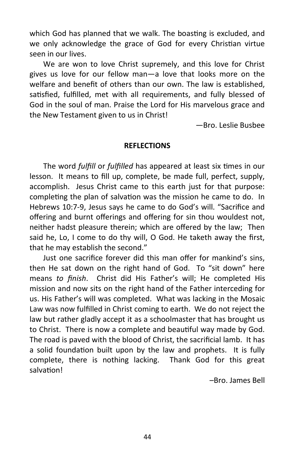which God has planned that we walk. The boasting is excluded, and we only acknowledge the grace of God for every Christian virtue seen in our lives.

We are won to love Christ supremely, and this love for Christ gives us love for our fellow man—a love that looks more on the welfare and benefit of others than our own. The law is established, satisfied, fulfilled, met with all requirements, and fully blessed of God in the soul of man. Praise the Lord for His marvelous grace and the New Testament given to us in Christ!

—Bro. Leslie Busbee

#### **REFLECTIONS**

The word *fulfill* or *fulfilled* has appeared at least six times in our lesson. It means to fill up, complete, be made full, perfect, supply, accomplish. Jesus Christ came to this earth just for that purpose: completing the plan of salvation was the mission he came to do. In Hebrews 10:7-9, Jesus says he came to do God's will. "Sacrifice and offering and burnt offerings and offering for sin thou wouldest not, neither hadst pleasure therein; which are offered by the law; Then said he, Lo, I come to do thy will, O God. He taketh away the first, that he may establish the second."

Just one sacrifice forever did this man offer for mankind's sins, then He sat down on the right hand of God. To "sit down" here means *to finish*. Christ did His Father's will; He completed His mission and now sits on the right hand of the Father interceding for us. His Father's will was completed. What was lacking in the Mosaic Law was now fulfilled in Christ coming to earth. We do not reject the law but rather gladly accept it as a schoolmaster that has brought us to Christ. There is now a complete and beautiful way made by God. The road is paved with the blood of Christ, the sacrificial lamb. It has a solid foundation built upon by the law and prophets. It is fully complete, there is nothing lacking. Thank God for this great salvation!

–Bro. James Bell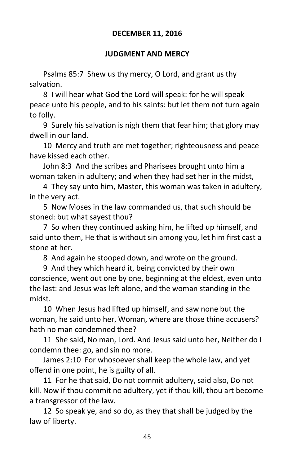# **DECEMBER 11, 2016**

#### **JUDGMENT AND MERCY**

Psalms 85:7 Shew us thy mercy, O Lord, and grant us thy salvation.

8 I will hear what God the Lord will speak: for he will speak peace unto his people, and to his saints: but let them not turn again to folly.

9 Surely his salvation is nigh them that fear him; that glory may dwell in our land.

10 Mercy and truth are met together; righteousness and peace have kissed each other.

John 8:3 And the scribes and Pharisees brought unto him a woman taken in adultery; and when they had set her in the midst,

4 They say unto him, Master, this woman was taken in adultery, in the very act.

5 Now Moses in the law commanded us, that such should be stoned: but what sayest thou?

7 So when they continued asking him, he lifted up himself, and said unto them, He that is without sin among you, let him first cast a stone at her.

8 And again he stooped down, and wrote on the ground.

9 And they which heard it, being convicted by their own conscience, went out one by one, beginning at the eldest, even unto the last: and Jesus was left alone, and the woman standing in the midst.

10 When Jesus had lifted up himself, and saw none but the woman, he said unto her, Woman, where are those thine accusers? hath no man condemned thee?

11 She said, No man, Lord. And Jesus said unto her, Neither do I condemn thee: go, and sin no more.

James 2:10 For whosoever shall keep the whole law, and yet offend in one point, he is guilty of all.

11 For he that said, Do not commit adultery, said also, Do not kill. Now if thou commit no adultery, yet if thou kill, thou art become a transgressor of the law.

12 So speak ye, and so do, as they that shall be judged by the law of liberty.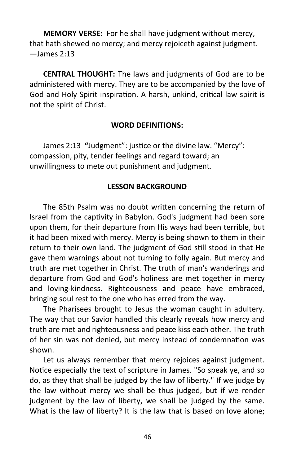**MEMORY VERSE:** For he shall have judgment without mercy, that hath shewed no mercy; and mercy rejoiceth against judgment. —James 2:13

**CENTRAL THOUGHT:** The laws and judgments of God are to be administered with mercy. They are to be accompanied by the love of God and Holy Spirit inspiration. A harsh, unkind, critical law spirit is not the spirit of Christ.

#### **WORD DEFINITIONS:**

James 2:13 **"**Judgment": justice or the divine law. "Mercy": compassion, pity, tender feelings and regard toward; an unwillingness to mete out punishment and judgment.

#### **LESSON BACKGROUND**

The 85th Psalm was no doubt written concerning the return of Israel from the captivity in Babylon. God's judgment had been sore upon them, for their departure from His ways had been terrible, but it had been mixed with mercy. Mercy is being shown to them in their return to their own land. The judgment of God still stood in that He gave them warnings about not turning to folly again. But mercy and truth are met together in Christ. The truth of man's wanderings and departure from God and God's holiness are met together in mercy and loving-kindness. Righteousness and peace have embraced, bringing soul rest to the one who has erred from the way.

The Pharisees brought to Jesus the woman caught in adultery. The way that our Savior handled this clearly reveals how mercy and truth are met and righteousness and peace kiss each other. The truth of her sin was not denied, but mercy instead of condemnation was shown.

Let us always remember that mercy rejoices against judgment. Notice especially the text of scripture in James. "So speak ye, and so do, as they that shall be judged by the law of liberty." If we judge by the law without mercy we shall be thus judged, but if we render judgment by the law of liberty, we shall be judged by the same. What is the law of liberty? It is the law that is based on love alone;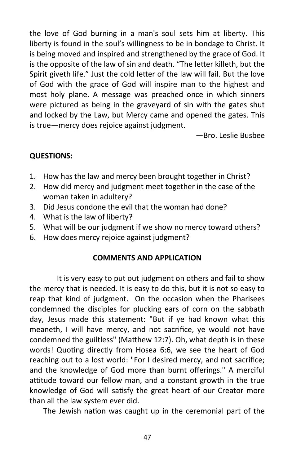the love of God burning in a man's soul sets him at liberty. This liberty is found in the soul's willingness to be in bondage to Christ. It is being moved and inspired and strengthened by the grace of God. It is the opposite of the law of sin and death. "The letter killeth, but the Spirit giveth life." Just the cold letter of the law will fail. But the love of God with the grace of God will inspire man to the highest and most holy plane. A message was preached once in which sinners were pictured as being in the graveyard of sin with the gates shut and locked by the Law, but Mercy came and opened the gates. This is true—mercy does rejoice against judgment.

—Bro. Leslie Busbee

# **QUESTIONS:**

- 1. How has the law and mercy been brought together in Christ?
- 2. How did mercy and judgment meet together in the case of the woman taken in adultery?
- 3. Did Jesus condone the evil that the woman had done?
- 4. What is the law of liberty?
- 5. What will be our judgment if we show no mercy toward others?
- 6. How does mercy rejoice against judgment?

# **COMMENTS AND APPLICATION**

It is very easy to put out judgment on others and fail to show the mercy that is needed. It is easy to do this, but it is not so easy to reap that kind of judgment. On the occasion when the Pharisees condemned the disciples for plucking ears of corn on the sabbath day, Jesus made this statement: "But if ye had known what this meaneth, I will have mercy, and not sacrifice, ye would not have condemned the guiltless" (Matthew 12:7). Oh, what depth is in these words! Quoting directly from Hosea 6:6, we see the heart of God reaching out to a lost world: "For I desired mercy, and not sacrifice; and the knowledge of God more than burnt offerings." A merciful attitude toward our fellow man, and a constant growth in the true knowledge of God will satisfy the great heart of our Creator more than all the law system ever did.

The Jewish nation was caught up in the ceremonial part of the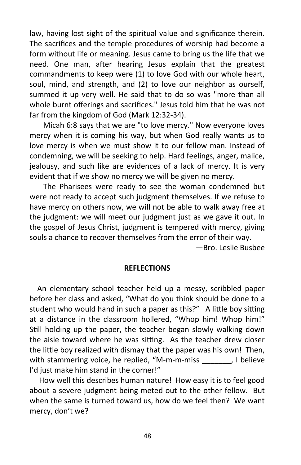law, having lost sight of the spiritual value and significance therein. The sacrifices and the temple procedures of worship had become a form without life or meaning. Jesus came to bring us the life that we need. One man, after hearing Jesus explain that the greatest commandments to keep were (1) to love God with our whole heart, soul, mind, and strength, and (2) to love our neighbor as ourself, summed it up very well. He said that to do so was "more than all whole burnt offerings and sacrifices." Jesus told him that he was not far from the kingdom of God (Mark 12:32-34).

Micah 6:8 says that we are "to love mercy." Now everyone loves mercy when it is coming his way, but when God really wants us to love mercy is when we must show it to our fellow man. Instead of condemning, we will be seeking to help. Hard feelings, anger, malice, jealousy, and such like are evidences of a lack of mercy. It is very evident that if we show no mercy we will be given no mercy.

The Pharisees were ready to see the woman condemned but were not ready to accept such judgment themselves. If we refuse to have mercy on others now, we will not be able to walk away free at the judgment: we will meet our judgment just as we gave it out. In the gospel of Jesus Christ, judgment is tempered with mercy, giving souls a chance to recover themselves from the error of their way.

—Bro. Leslie Busbee

#### **REFLECTIONS**

 An elementary school teacher held up a messy, scribbled paper before her class and asked, "What do you think should be done to a student who would hand in such a paper as this?" A little boy sitting at a distance in the classroom hollered, "Whop him! Whop him!" Still holding up the paper, the teacher began slowly walking down the aisle toward where he was sitting. As the teacher drew closer the little boy realized with dismay that the paper was his own! Then, with stammering voice, he replied, "M-m-m-miss [1] believe I'd just make him stand in the corner!"

 How well this describes human nature! How easy it is to feel good about a severe judgment being meted out to the other fellow. But when the same is turned toward us, how do we feel then? We want mercy, don't we?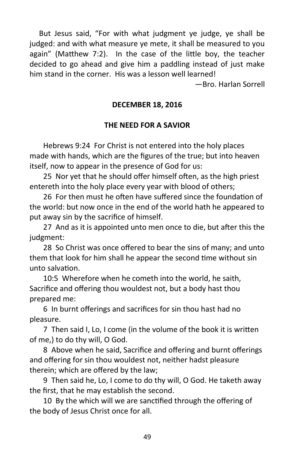But Jesus said, "For with what judgment ye judge, ye shall be judged: and with what measure ye mete, it shall be measured to you again" (Matthew 7:2). In the case of the little boy, the teacher decided to go ahead and give him a paddling instead of just make him stand in the corner. His was a lesson well learned!

—Bro. Harlan Sorrell

# **DECEMBER 18, 2016**

# **THE NEED FOR A SAVIOR**

Hebrews 9:24 For Christ is not entered into the holy places made with hands, which are the figures of the true; but into heaven itself, now to appear in the presence of God for us:

25 Nor yet that he should offer himself often, as the high priest entereth into the holy place every year with blood of others;

26 For then must he often have suffered since the foundation of the world: but now once in the end of the world hath he appeared to put away sin by the sacrifice of himself.

27 And as it is appointed unto men once to die, but after this the judgment:

28 So Christ was once offered to bear the sins of many; and unto them that look for him shall he appear the second time without sin unto salvation.

10:5 Wherefore when he cometh into the world, he saith, Sacrifice and offering thou wouldest not, but a body hast thou prepared me:

6 In burnt offerings and sacrifices for sin thou hast had no pleasure.

7 Then said I, Lo, I come (in the volume of the book it is written of me,) to do thy will, O God.

8 Above when he said, Sacrifice and offering and burnt offerings and offering for sin thou wouldest not, neither hadst pleasure therein; which are offered by the law;

9 Then said he, Lo, I come to do thy will, O God. He taketh away the first, that he may establish the second.

10 By the which will we are sanctified through the offering of the body of Jesus Christ once for all.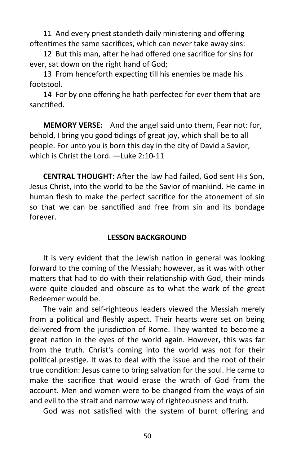11 And every priest standeth daily ministering and offering oftentimes the same sacrifices, which can never take away sins:

12 But this man, after he had offered one sacrifice for sins for ever, sat down on the right hand of God;

13 From henceforth expecting till his enemies be made his footstool.

14 For by one offering he hath perfected for ever them that are sanctified.

**MEMORY VERSE:** And the angel said unto them, Fear not: for, behold, I bring you good tidings of great joy, which shall be to all people. For unto you is born this day in the city of David a Savior, which is Christ the Lord. —Luke 2:10-11

**CENTRAL THOUGHT:** After the law had failed, God sent His Son, Jesus Christ, into the world to be the Savior of mankind. He came in human flesh to make the perfect sacrifice for the atonement of sin so that we can be sanctified and free from sin and its bondage forever.

#### **LESSON BACKGROUND**

It is very evident that the Jewish nation in general was looking forward to the coming of the Messiah; however, as it was with other matters that had to do with their relationship with God, their minds were quite clouded and obscure as to what the work of the great Redeemer would be.

The vain and self-righteous leaders viewed the Messiah merely from a political and fleshly aspect. Their hearts were set on being delivered from the jurisdiction of Rome. They wanted to become a great nation in the eyes of the world again. However, this was far from the truth. Christ's coming into the world was not for their political prestige. It was to deal with the issue and the root of their true condition: Jesus came to bring salvation for the soul. He came to make the sacrifice that would erase the wrath of God from the account. Men and women were to be changed from the ways of sin and evil to the strait and narrow way of righteousness and truth.

God was not satisfied with the system of burnt offering and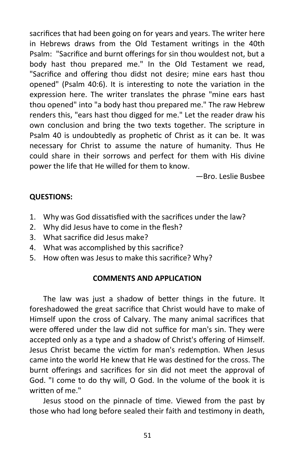sacrifices that had been going on for years and years. The writer here in Hebrews draws from the Old Testament writings in the 40th Psalm: "Sacrifice and burnt offerings for sin thou wouldest not, but a body hast thou prepared me." In the Old Testament we read, "Sacrifice and offering thou didst not desire; mine ears hast thou opened" (Psalm 40:6). It is interesting to note the variation in the expression here. The writer translates the phrase "mine ears hast thou opened" into "a body hast thou prepared me." The raw Hebrew renders this, "ears hast thou digged for me." Let the reader draw his own conclusion and bring the two texts together. The scripture in Psalm 40 is undoubtedly as prophetic of Christ as it can be. It was necessary for Christ to assume the nature of humanity. Thus He could share in their sorrows and perfect for them with His divine power the life that He willed for them to know.

—Bro. Leslie Busbee

# **QUESTIONS:**

- 1. Why was God dissatisfied with the sacrifices under the law?
- 2. Why did Jesus have to come in the flesh?
- 3. What sacrifice did Jesus make?
- 4. What was accomplished by this sacrifice?
- 5. How often was Jesus to make this sacrifice? Why?

# **COMMENTS AND APPLICATION**

The law was just a shadow of better things in the future. It foreshadowed the great sacrifice that Christ would have to make of Himself upon the cross of Calvary. The many animal sacrifices that were offered under the law did not suffice for man's sin. They were accepted only as a type and a shadow of Christ's offering of Himself. Jesus Christ became the victim for man's redemption. When Jesus came into the world He knew that He was destined for the cross. The burnt offerings and sacrifices for sin did not meet the approval of God. "I come to do thy will, O God. In the volume of the book it is written of me."

Jesus stood on the pinnacle of time. Viewed from the past by those who had long before sealed their faith and testimony in death,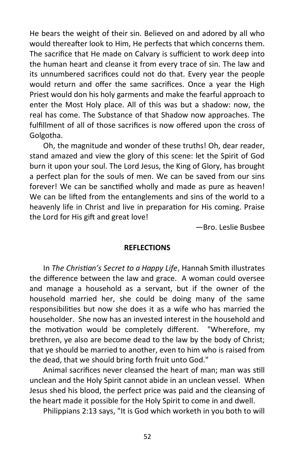He bears the weight of their sin. Believed on and adored by all who would thereafter look to Him, He perfects that which concerns them. The sacrifice that He made on Calvary is sufficient to work deep into the human heart and cleanse it from every trace of sin. The law and its unnumbered sacrifices could not do that. Every year the people would return and offer the same sacrifices. Once a year the High Priest would don his holy garments and make the fearful approach to enter the Most Holy place. All of this was but a shadow: now, the real has come. The Substance of that Shadow now approaches. The fulfillment of all of those sacrifices is now offered upon the cross of Golgotha.

Oh, the magnitude and wonder of these truths! Oh, dear reader, stand amazed and view the glory of this scene: let the Spirit of God burn it upon your soul. The Lord Jesus, the King of Glory, has brought a perfect plan for the souls of men. We can be saved from our sins forever! We can be sanctified wholly and made as pure as heaven! We can be lifted from the entanglements and sins of the world to a heavenly life in Christ and live in preparation for His coming. Praise the Lord for His gift and great love!

—Bro. Leslie Busbee

#### **REFLECTIONS**

In *The Christian's Secret to a Happy Life*, Hannah Smith illustrates the difference between the law and grace. A woman could oversee and manage a household as a servant, but if the owner of the household married her, she could be doing many of the same responsibilities but now she does it as a wife who has married the householder. She now has an invested interest in the household and the motivation would be completely different. "Wherefore, my brethren, ye also are become dead to the law by the body of Christ; that ye should be married to another, even to him who is raised from the dead, that we should bring forth fruit unto God."

Animal sacrifices never cleansed the heart of man; man was still unclean and the Holy Spirit cannot abide in an unclean vessel. When Jesus shed his blood, the perfect price was paid and the cleansing of the heart made it possible for the Holy Spirit to come in and dwell.

Philippians 2:13 says, "It is God which worketh in you both to will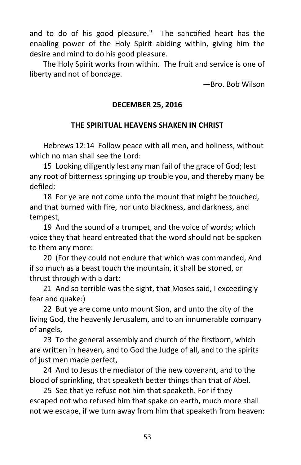and to do of his good pleasure." The sanctified heart has the enabling power of the Holy Spirit abiding within, giving him the desire and mind to do his good pleasure.

The Holy Spirit works from within. The fruit and service is one of liberty and not of bondage.

—Bro. Bob Wilson

# **DECEMBER 25, 2016**

# **THE SPIRITUAL HEAVENS SHAKEN IN CHRIST**

Hebrews 12:14 Follow peace with all men, and holiness, without which no man shall see the Lord:

15 Looking diligently lest any man fail of the grace of God; lest any root of bitterness springing up trouble you, and thereby many be defiled;

18 For ye are not come unto the mount that might be touched, and that burned with fire, nor unto blackness, and darkness, and tempest,

19 And the sound of a trumpet, and the voice of words; which voice they that heard entreated that the word should not be spoken to them any more:

20 (For they could not endure that which was commanded, And if so much as a beast touch the mountain, it shall be stoned, or thrust through with a dart:

21 And so terrible was the sight, that Moses said, I exceedingly fear and quake:)

22 But ye are come unto mount Sion, and unto the city of the living God, the heavenly Jerusalem, and to an innumerable company of angels,

23 To the general assembly and church of the firstborn, which are written in heaven, and to God the Judge of all, and to the spirits of just men made perfect,

24 And to Jesus the mediator of the new covenant, and to the blood of sprinkling, that speaketh better things than that of Abel.

25 See that ye refuse not him that speaketh. For if they escaped not who refused him that spake on earth, much more shall not we escape, if we turn away from him that speaketh from heaven: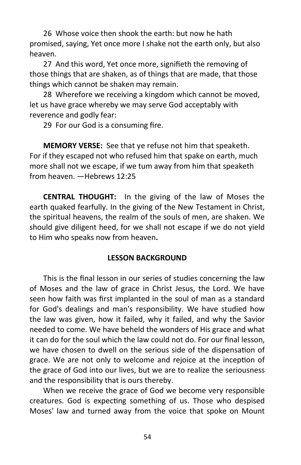26 Whose voice then shook the earth: but now he hath promised, saying, Yet once more I shake not the earth only, but also heaven.

27 And this word, Yet once more, signifieth the removing of those things that are shaken, as of things that are made, that those things which cannot be shaken may remain.

28 Wherefore we receiving a kingdom which cannot be moved, let us have grace whereby we may serve God acceptably with reverence and godly fear:

29 For our God is a consuming fire.

**MEMORY VERSE:** See that ye refuse not him that speaketh. For if they escaped not who refused him that spake on earth, much more shall not we escape, if we tum away from him that speaketh from heaven. —Hebrews 12:25

**CENTRAL THOUGHT:** In the giving of the law of Moses the earth quaked fearfully. In the giving of the New Testament in Christ, the spiritual heavens, the realm of the souls of men, are shaken. We should give diligent heed, for we shall not escape if we do not yield to Him who speaks now from heaven**.**

# **LESSON BACKGROUND**

This is the final lesson in our series of studies concerning the law of Moses and the law of grace in Christ Jesus, the Lord. We have seen how faith was first implanted in the soul of man as a standard for God's dealings and man's responsibility. We have studied how the law was given, how it failed, why it failed, and why the Savior needed to come. We have beheld the wonders of His grace and what it can do for the soul which the law could not do. For our final lesson, we have chosen to dwell on the serious side of the dispensation of grace. We are not only to welcome and rejoice at the inception of the grace of God into our lives, but we are to realize the seriousness and the responsibility that is ours thereby.

When we receive the grace of God we become very responsible creatures. God is expecting something of us. Those who despised Moses' law and turned away from the voice that spoke on Mount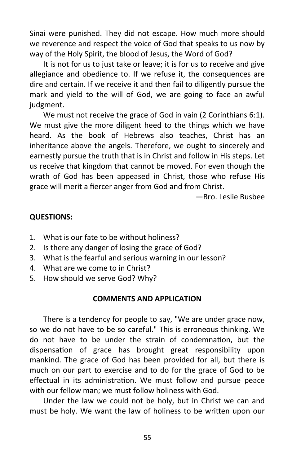Sinai were punished. They did not escape. How much more should we reverence and respect the voice of God that speaks to us now by way of the Holy Spirit, the blood of Jesus, the Word of God?

It is not for us to just take or leave; it is for us to receive and give allegiance and obedience to. If we refuse it, the consequences are dire and certain. If we receive it and then fail to diligently pursue the mark and yield to the will of God, we are going to face an awful judgment.

We must not receive the grace of God in vain (2 Corinthians 6:1). We must give the more diligent heed to the things which we have heard. As the book of Hebrews also teaches, Christ has an inheritance above the angels. Therefore, we ought to sincerely and earnestly pursue the truth that is in Christ and follow in His steps. Let us receive that kingdom that cannot be moved. For even though the wrath of God has been appeased in Christ, those who refuse His grace will merit a fiercer anger from God and from Christ.

—Bro. Leslie Busbee

#### **QUESTIONS:**

- 1. What is our fate to be without holiness?
- 2. Is there any danger of losing the grace of God?
- 3. What is the fearful and serious warning in our lesson?
- 4. What are we come to in Christ?
- 5. How should we serve God? Why?

#### **COMMENTS AND APPLICATION**

There is a tendency for people to say, "We are under grace now, so we do not have to be so careful." This is erroneous thinking. We do not have to be under the strain of condemnation, but the dispensation of grace has brought great responsibility upon mankind. The grace of God has been provided for all, but there is much on our part to exercise and to do for the grace of God to be effectual in its administration. We must follow and pursue peace with our fellow man; we must follow holiness with God.

Under the law we could not be holy, but in Christ we can and must be holy. We want the law of holiness to be written upon our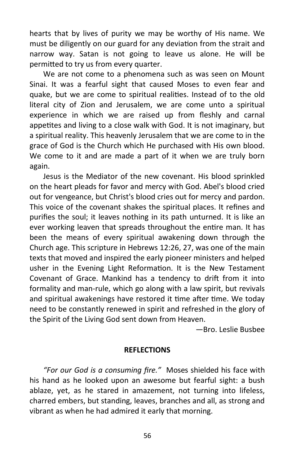hearts that by lives of purity we may be worthy of His name. We must be diligently on our guard for any deviation from the strait and narrow way. Satan is not going to leave us alone. He will be permitted to try us from every quarter.

We are not come to a phenomena such as was seen on Mount Sinai. It was a fearful sight that caused Moses to even fear and quake, but we are come to spiritual realities. Instead of to the old literal city of Zion and Jerusalem, we are come unto a spiritual experience in which we are raised up from fleshly and carnal appetites and living to a close walk with God. It is not imaginary, but a spiritual reality. This heavenly Jerusalem that we are come to in the grace of God is the Church which He purchased with His own blood. We come to it and are made a part of it when we are truly born again.

Jesus is the Mediator of the new covenant. His blood sprinkled on the heart pleads for favor and mercy with God. Abel's blood cried out for vengeance, but Christ's blood cries out for mercy and pardon. This voice of the covenant shakes the spiritual places. It refines and purifies the soul; it leaves nothing in its path unturned. It is like an ever working leaven that spreads throughout the entire man. It has been the means of every spiritual awakening down through the Church age. This scripture in Hebrews 12:26, 27, was one of the main texts that moved and inspired the early pioneer ministers and helped usher in the Evening Light Reformation. It is the New Testament Covenant of Grace. Mankind has a tendency to drift from it into formality and man-rule, which go along with a law spirit, but revivals and spiritual awakenings have restored it time after time. We today need to be constantly renewed in spirit and refreshed in the glory of the Spirit of the Living God sent down from Heaven.

—Bro. Leslie Busbee

# **REFLECTIONS**

*"For our God is a consuming fire."* Moses shielded his face with his hand as he looked upon an awesome but fearful sight: a bush ablaze, yet, as he stared in amazement, not turning into lifeless, charred embers, but standing, leaves, branches and all, as strong and vibrant as when he had admired it early that morning.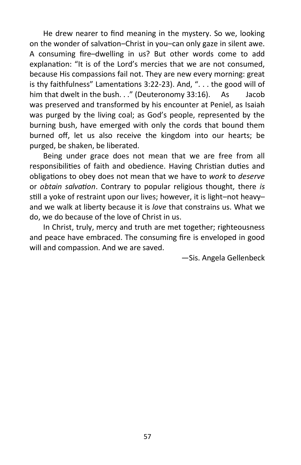He drew nearer to find meaning in the mystery. So we, looking on the wonder of salvation–Christ in you–can only gaze in silent awe. A consuming fire–dwelling in us? But other words come to add explanation: "It is of the Lord's mercies that we are not consumed, because His compassions fail not. They are new every morning: great is thy faithfulness" Lamentations 3:22-23). And, ". . . the good will of him that dwelt in the bush. . ." (Deuteronomy 33:16). As Jacob was preserved and transformed by his encounter at Peniel, as Isaiah was purged by the living coal; as God's people, represented by the burning bush, have emerged with only the cords that bound them burned off, let us also receive the kingdom into our hearts; be purged, be shaken, be liberated.

Being under grace does not mean that we are free from all responsibilities of faith and obedience. Having Christian duties and obligations to obey does not mean that we have to *work* to *deserve* or *obtain salvation*. Contrary to popular religious thought, there *is* still a yoke of restraint upon our lives; however, it is light–not heavy– and we walk at liberty because it is *love* that constrains us. What we do, we do because of the love of Christ in us.

In Christ, truly, mercy and truth are met together; righteousness and peace have embraced. The consuming fire is enveloped in good will and compassion. And we are saved.

—Sis. Angela Gellenbeck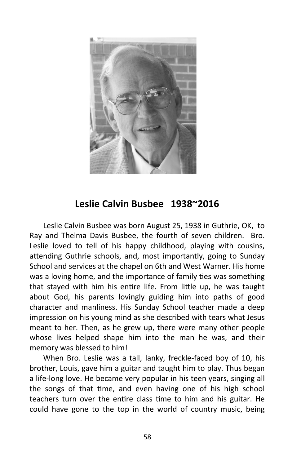

# **Leslie Calvin Busbee 1938~2016**

Leslie Calvin Busbee was born August 25, 1938 in Guthrie, OK, to Ray and Thelma Davis Busbee, the fourth of seven children. Bro. Leslie loved to tell of his happy childhood, playing with cousins, attending Guthrie schools, and, most importantly, going to Sunday School and services at the chapel on 6th and West Warner. His home was a loving home, and the importance of family ties was something that stayed with him his entire life. From little up, he was taught about God, his parents lovingly guiding him into paths of good character and manliness. His Sunday School teacher made a deep impression on his young mind as she described with tears what Jesus meant to her. Then, as he grew up, there were many other people whose lives helped shape him into the man he was, and their memory was blessed to him!

When Bro. Leslie was a tall, lanky, freckle-faced boy of 10, his brother, Louis, gave him a guitar and taught him to play. Thus began a life-long love. He became very popular in his teen years, singing all the songs of that time, and even having one of his high school teachers turn over the entire class time to him and his guitar. He could have gone to the top in the world of country music, being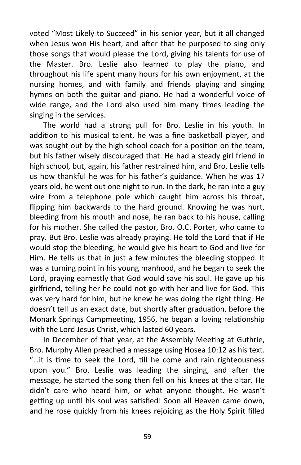voted "Most Likely to Succeed" in his senior year, but it all changed when Jesus won His heart, and after that he purposed to sing only those songs that would please the Lord, giving his talents for use of the Master. Bro. Leslie also learned to play the piano, and throughout his life spent many hours for his own enjoyment, at the nursing homes, and with family and friends playing and singing hymns on both the guitar and piano. He had a wonderful voice of wide range, and the Lord also used him many times leading the singing in the services.

The world had a strong pull for Bro. Leslie in his youth. In addition to his musical talent, he was a fine basketball player, and was sought out by the high school coach for a position on the team, but his father wisely discouraged that. He had a steady girl friend in high school, but, again, his father restrained him, and Bro. Leslie tells us how thankful he was for his father's guidance. When he was 17 years old, he went out one night to run. In the dark, he ran into a guy wire from a telephone pole which caught him across his throat, flipping him backwards to the hard ground. Knowing he was hurt, bleeding from his mouth and nose, he ran back to his house, calling for his mother. She called the pastor, Bro. O.C. Porter, who came to pray. But Bro. Leslie was already praying. He told the Lord that if He would stop the bleeding, he would give his heart to God and live for Him. He tells us that in just a few minutes the bleeding stopped. It was a turning point in his young manhood, and he began to seek the Lord, praying earnestly that God would save his soul. He gave up his girlfriend, telling her he could not go with her and live for God. This was very hard for him, but he knew he was doing the right thing. He doesn't tell us an exact date, but shortly after graduation, before the Monark Springs Campmeeting, 1956, he began a loving relationship with the Lord Jesus Christ, which lasted 60 years.

In December of that year, at the Assembly Meeting at Guthrie, Bro. Murphy Allen preached a message using Hosea 10:12 as his text. "…it is time to seek the Lord, till he come and rain righteousness upon you." Bro. Leslie was leading the singing, and after the message, he started the song then fell on his knees at the altar. He didn't care who heard him, or what anyone thought. He wasn't getting up until his soul was satisfied! Soon all Heaven came down, and he rose quickly from his knees rejoicing as the Holy Spirit filled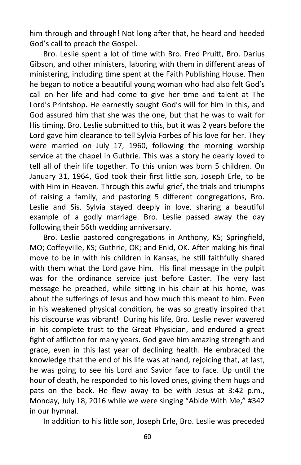him through and through! Not long after that, he heard and heeded God's call to preach the Gospel.

Bro. Leslie spent a lot of time with Bro. Fred Pruitt, Bro. Darius Gibson, and other ministers, laboring with them in different areas of ministering, including time spent at the Faith Publishing House. Then he began to notice a beautiful young woman who had also felt God's call on her life and had come to give her time and talent at The Lord's Printshop. He earnestly sought God's will for him in this, and God assured him that she was the one, but that he was to wait for His timing. Bro. Leslie submitted to this, but it was 2 years before the Lord gave him clearance to tell Sylvia Forbes of his love for her. They were married on July 17, 1960, following the morning worship service at the chapel in Guthrie. This was a story he dearly loved to tell all of their life together. To this union was born 5 children. On January 31, 1964, God took their first little son, Joseph Erle, to be with Him in Heaven. Through this awful grief, the trials and triumphs of raising a family, and pastoring 5 different congregations, Bro. Leslie and Sis. Sylvia stayed deeply in love, sharing a beautiful example of a godly marriage. Bro. Leslie passed away the day following their 56th wedding anniversary.

Bro. Leslie pastored congregations in Anthony, KS; Springfield, MO; Coffeyville, KS; Guthrie, OK; and Enid, OK. After making his final move to be in with his children in Kansas, he still faithfully shared with them what the Lord gave him. His final message in the pulpit was for the ordinance service just before Easter. The very last message he preached, while sitting in his chair at his home, was about the sufferings of Jesus and how much this meant to him. Even in his weakened physical condition, he was so greatly inspired that his discourse was vibrant! During his life, Bro. Leslie never wavered in his complete trust to the Great Physician, and endured a great fight of affliction for many years. God gave him amazing strength and grace, even in this last year of declining health. He embraced the knowledge that the end of his life was at hand, rejoicing that, at last, he was going to see his Lord and Savior face to face. Up until the hour of death, he responded to his loved ones, giving them hugs and pats on the back. He flew away to be with Jesus at 3:42 p.m., Monday, July 18, 2016 while we were singing "Abide With Me," #342 in our hymnal.

In addition to his little son, Joseph Erle, Bro. Leslie was preceded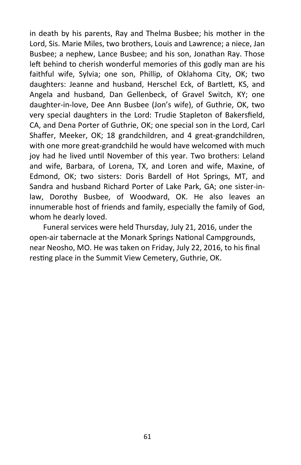in death by his parents, Ray and Thelma Busbee; his mother in the Lord, Sis. Marie Miles, two brothers, Louis and Lawrence; a niece, Jan Busbee; a nephew, Lance Busbee; and his son, Jonathan Ray. Those left behind to cherish wonderful memories of this godly man are his faithful wife, Sylvia; one son, Phillip, of Oklahoma City, OK; two daughters: Jeanne and husband, Herschel Eck, of Bartlett, KS, and Angela and husband, Dan Gellenbeck, of Gravel Switch, KY; one daughter-in-love, Dee Ann Busbee (Jon's wife), of Guthrie, OK, two very special daughters in the Lord: Trudie Stapleton of Bakersfield, CA, and Dena Porter of Guthrie, OK; one special son in the Lord, Carl Shaffer, Meeker, OK; 18 grandchildren, and 4 great-grandchildren, with one more great-grandchild he would have welcomed with much joy had he lived until November of this year. Two brothers: Leland and wife, Barbara, of Lorena, TX, and Loren and wife, Maxine, of Edmond, OK; two sisters: Doris Bardell of Hot Springs, MT, and Sandra and husband Richard Porter of Lake Park, GA; one sister-inlaw, Dorothy Busbee, of Woodward, OK. He also leaves an innumerable host of friends and family, especially the family of God, whom he dearly loved.

Funeral services were held Thursday, July 21, 2016, under the open-air tabernacle at the Monark Springs National Campgrounds, near Neosho, MO. He was taken on Friday, July 22, 2016, to his final resting place in the Summit View Cemetery, Guthrie, OK.